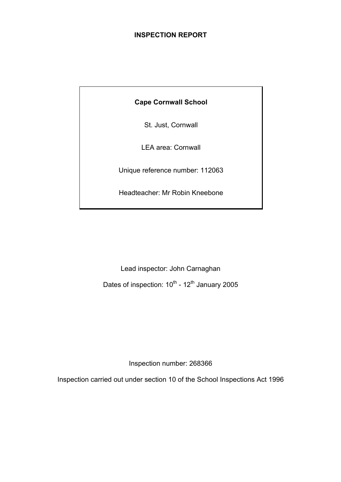# **INSPECTION REPORT**

# **Cape Cornwall School**

St. Just, Cornwall

LEA area: Cornwall

Unique reference number: 112063

Headteacher: Mr Robin Kneebone

Lead inspector: John Carnaghan Dates of inspection:  $10^{th}$  -  $12^{th}$  January 2005

Inspection number: 268366

Inspection carried out under section 10 of the School Inspections Act 1996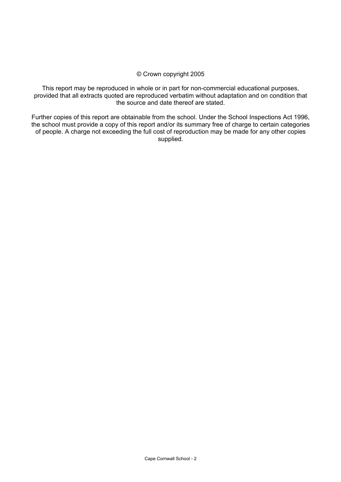#### © Crown copyright 2005

This report may be reproduced in whole or in part for non-commercial educational purposes, provided that all extracts quoted are reproduced verbatim without adaptation and on condition that the source and date thereof are stated.

Further copies of this report are obtainable from the school. Under the School Inspections Act 1996, the school must provide a copy of this report and/or its summary free of charge to certain categories of people. A charge not exceeding the full cost of reproduction may be made for any other copies supplied.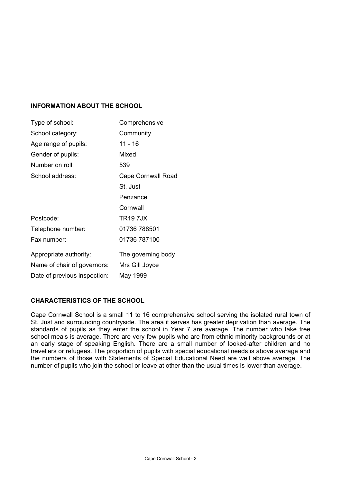# **INFORMATION ABOUT THE SCHOOL**

| Type of school:              | Comprehensive      |
|------------------------------|--------------------|
| School category:             | Community          |
| Age range of pupils:         | 11 - 16            |
| Gender of pupils:            | Mixed              |
| Number on roll:              | 539                |
| School address:              | Cape Cornwall Road |
|                              | St. Just           |
|                              | Penzance           |
|                              | Cornwall           |
| Postcode:                    | <b>TR197JX</b>     |
| Telephone number:            | 01736 788501       |
| Fax number:                  | 01736 787100       |
| Appropriate authority:       | The governing body |
| Name of chair of governors:  | Mrs Gill Joyce     |
| Date of previous inspection: | May 1999           |

#### **CHARACTERISTICS OF THE SCHOOL**

Cape Cornwall School is a small 11 to 16 comprehensive school serving the isolated rural town of St. Just and surrounding countryside. The area it serves has greater deprivation than average. The standards of pupils as they enter the school in Year 7 are average. The number who take free school meals is average. There are very few pupils who are from ethnic minority backgrounds or at an early stage of speaking English. There are a small number of looked-after children and no travellers or refugees. The proportion of pupils with special educational needs is above average and the numbers of those with Statements of Special Educational Need are well above average. The number of pupils who join the school or leave at other than the usual times is lower than average.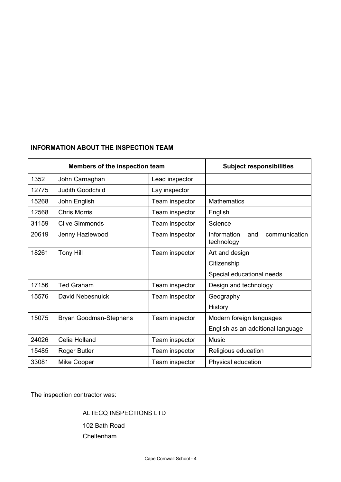# **INFORMATION ABOUT THE INSPECTION TEAM**

| Members of the inspection team |                         | <b>Subject responsibilities</b> |                                                   |
|--------------------------------|-------------------------|---------------------------------|---------------------------------------------------|
| 1352                           | John Carnaghan          | Lead inspector                  |                                                   |
| 12775                          | <b>Judith Goodchild</b> | Lay inspector                   |                                                   |
| 15268                          | John English            | Team inspector                  | <b>Mathematics</b>                                |
| 12568                          | <b>Chris Morris</b>     | Team inspector                  | English                                           |
| 31159                          | <b>Clive Simmonds</b>   | Team inspector                  | Science                                           |
| 20619                          | Jenny Hazlewood         | Team inspector                  | Information<br>communication<br>and<br>technology |
| 18261                          | <b>Tony Hill</b>        | Team inspector                  | Art and design                                    |
|                                |                         |                                 | Citizenship                                       |
|                                |                         |                                 | Special educational needs                         |
| 17156                          | <b>Ted Graham</b>       | Team inspector                  | Design and technology                             |
| 15576                          | David Nebesnuick        | Team inspector                  | Geography                                         |
|                                |                         |                                 | History                                           |
| 15075                          | Bryan Goodman-Stephens  | Team inspector                  | Modern foreign languages                          |
|                                |                         |                                 | English as an additional language                 |
| 24026                          | Celia Holland           | Team inspector                  | <b>Music</b>                                      |
| 15485                          | Roger Butler            | Team inspector                  | Religious education                               |
| 33081                          | <b>Mike Cooper</b>      | Team inspector                  | Physical education                                |

The inspection contractor was:

ALTECQ INSPECTIONS LTD

 102 Bath Road Cheltenham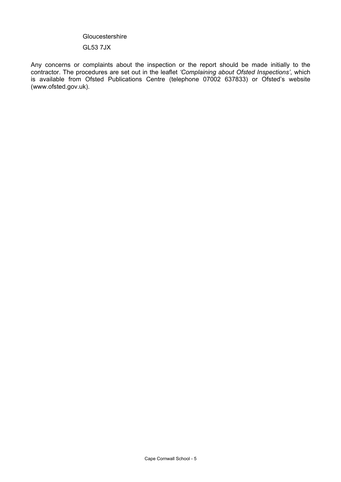#### **Gloucestershire**

# GL53 7JX

Any concerns or complaints about the inspection or the report should be made initially to the contractor. The procedures are set out in the leaflet *'Complaining about Ofsted Inspections'*, which is available from Ofsted Publications Centre (telephone 07002 637833) or Ofsted's website (www.ofsted.gov.uk).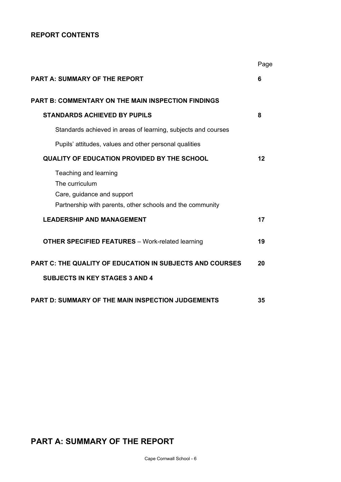# **REPORT CONTENTS**

|                                                                                                                                    | Page |
|------------------------------------------------------------------------------------------------------------------------------------|------|
| <b>PART A: SUMMARY OF THE REPORT</b>                                                                                               | 6    |
| <b>PART B: COMMENTARY ON THE MAIN INSPECTION FINDINGS</b>                                                                          |      |
| <b>STANDARDS ACHIEVED BY PUPILS</b>                                                                                                | 8    |
| Standards achieved in areas of learning, subjects and courses                                                                      |      |
| Pupils' attitudes, values and other personal qualities                                                                             |      |
| <b>QUALITY OF EDUCATION PROVIDED BY THE SCHOOL</b>                                                                                 | 12   |
| Teaching and learning<br>The curriculum<br>Care, guidance and support<br>Partnership with parents, other schools and the community |      |
| <b>LEADERSHIP AND MANAGEMENT</b>                                                                                                   | 17   |
| <b>OTHER SPECIFIED FEATURES</b> - Work-related learning                                                                            | 19   |
| <b>PART C: THE QUALITY OF EDUCATION IN SUBJECTS AND COURSES</b>                                                                    | 20   |
| <b>SUBJECTS IN KEY STAGES 3 AND 4</b>                                                                                              |      |
| <b>PART D: SUMMARY OF THE MAIN INSPECTION JUDGEMENTS</b>                                                                           | 35   |

# **PART A: SUMMARY OF THE REPORT**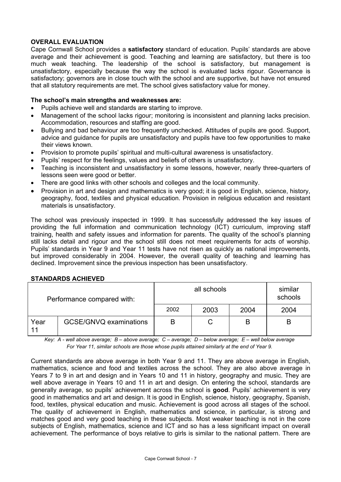# **OVERALL EVALUATION**

Cape Cornwall School provides a **satisfactory** standard of education. Pupils' standards are above average and their achievement is good. Teaching and learning are satisfactory, but there is too much weak teaching. The leadership of the school is satisfactory, but management is unsatisfactory, especially because the way the school is evaluated lacks rigour. Governance is satisfactory; governors are in close touch with the school and are supportive, but have not ensured that all statutory requirements are met. The school gives satisfactory value for money.

# **The school's main strengths and weaknesses are:**

- Pupils achieve well and standards are starting to improve.
- Management of the school lacks rigour; monitoring is inconsistent and planning lacks precision. Accommodation, resources and staffing are good.
- Bullying and bad behaviour are too frequently unchecked. Attitudes of pupils are good. Support, advice and guidance for pupils are unsatisfactory and pupils have too few opportunities to make their views known.
- Provision to promote pupils' spiritual and multi-cultural awareness is unsatisfactory.
- Pupils' respect for the feelings, values and beliefs of others is unsatisfactory.
- Teaching is inconsistent and unsatisfactory in some lessons, however, nearly three-quarters of lessons seen were good or better.
- There are good links with other schools and colleges and the local community.
- Provision in art and design and mathematics is very good; it is good in English, science, history, geography, food, textiles and physical education. Provision in religious education and resistant materials is unsatisfactory.

The school was previously inspected in 1999. It has successfully addressed the key issues of providing the full information and communication technology (ICT) curriculum, improving staff training, health and safety issues and information for parents. The quality of the school's planning still lacks detail and rigour and the school still does not meet requirements for acts of worship. Pupils' standards in Year 9 and Year 11 tests have not risen as quickly as national improvements, but improved considerably in 2004. However, the overall quality of teaching and learning has declined. Improvement since the previous inspection has been unsatisfactory.

# **STANDARDS ACHIEVED**

| Performance compared with: |                        |      | similar<br>schools |      |      |
|----------------------------|------------------------|------|--------------------|------|------|
|                            |                        | 2002 | 2003               | 2004 | 2004 |
| Year<br>11                 | GCSE/GNVQ examinations | В    |                    | B    | В    |

*Key: A - well above average; B – above average; C – average; D – below average; E – well below average For Year 11, similar schools are those whose pupils attained similarly at the end of Year 9.* 

Current standards are above average in both Year 9 and 11. They are above average in English, mathematics, science and food and textiles across the school. They are also above average in Years 7 to 9 in art and design and in Years 10 and 11 in history, geography and music. They are well above average in Years 10 and 11 in art and design. On entering the school, standards are generally average, so pupils' achievement across the school is **good**. Pupils' achievement is very good in mathematics and art and design. It is good in English, science, history, geography, Spanish, food, textiles, physical education and music. Achievement is good across all stages of the school. The quality of achievement in English, mathematics and science, in particular, is strong and matches good and very good teaching in these subjects. Most weaker teaching is not in the core subjects of English, mathematics, science and ICT and so has a less significant impact on overall achievement. The performance of boys relative to girls is similar to the national pattern. There are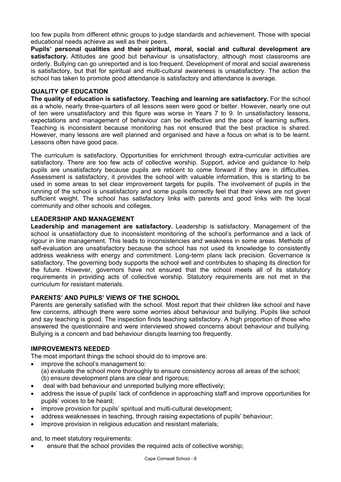too few pupils from different ethnic groups to judge standards and achievement. Those with special educational needs achieve as well as their peers.

**Pupils' personal qualities and their spiritual, moral, social and cultural development are satisfactory.** Attitudes are good but behaviour is unsatisfactory, although most classrooms are orderly. Bullying can go unreported and is too frequent. Development of moral and social awareness is satisfactory, but that for spiritual and multi-cultural awareness is unsatisfactory. The action the school has taken to promote good attendance is satisfactory and attendance is average.

# **QUALITY OF EDUCATION**

**The quality of education is satisfactory. Teaching and learning are satisfactory.** For the school as a whole, nearly three-quarters of all lessons seen were good or better. However, nearly one out of ten were unsatisfactory and this figure was worse in Years 7 to 9. In unsatisfactory lessons, expectations and management of behaviour can be ineffective and the pace of learning suffers. Teaching is inconsistent because monitoring has not ensured that the best practice is shared. However, many lessons are well planned and organised and have a focus on what is to be learnt. Lessons often have good pace.

The curriculum is satisfactory. Opportunities for enrichment through extra-curricular activities are satisfactory. There are too few acts of collective worship. Support, advice and guidance to help pupils are unsatisfactory because pupils are reticent to come forward if they are in difficulties. Assessment is satisfactory, it provides the school with valuable information, this is starting to be used in some areas to set clear improvement targets for pupils. The involvement of pupils in the running of the school is unsatisfactory and some pupils correctly feel that their views are not given sufficient weight. The school has satisfactory links with parents and good links with the local community and other schools and colleges.

#### **LEADERSHIP AND MANAGEMENT**

**Leadership and management are satisfactory.** Leadership is satisfactory. Management of the school is unsatisfactory due to inconsistent monitoring of the school's performance and a lack of rigour in line management. This leads to inconsistencies and weakness in some areas. Methods of self-evaluation are unsatisfactory because the school has not used its knowledge to consistently address weakness with energy and commitment. Long-term plans lack precision. Governance is satisfactory. The governing body supports the school well and contributes to shaping its direction for the future. However, governors have not ensured that the school meets all of its statutory requirements in providing acts of collective worship. Statutory requirements are not met in the curriculum for resistant materials.

# **PARENTS' AND PUPILS' VIEWS OF THE SCHOOL**

Parents are generally satisfied with the school. Most report that their children like school and have few concerns, although there were some worries about behaviour and bullying. Pupils like school and say teaching is good. The inspection finds teaching satisfactory. A high proportion of those who answered the questionnaire and were interviewed showed concerns about behaviour and bullying. Bullying is a concern and bad behaviour disrupts learning too frequently.

#### **IMPROVEMENTS NEEDED**

The most important things the school should do to improve are:

- improve the school's management to:
	- (a) evaluate the school more thoroughly to ensure consistency across all areas of the school;
	- (b) ensure development plans are clear and rigorous;
- deal with bad behaviour and unreported bullying more effectively;
- address the issue of pupils' lack of confidence in approaching staff and improve opportunities for pupils' voices to be heard;
- improve provision for pupils' spiritual and multi-cultural development;
- address weaknesses in teaching, through raising expectations of pupils' behaviour;
- improve provision in religious education and resistant materials:

and, to meet statutory requirements:

ensure that the school provides the required acts of collective worship;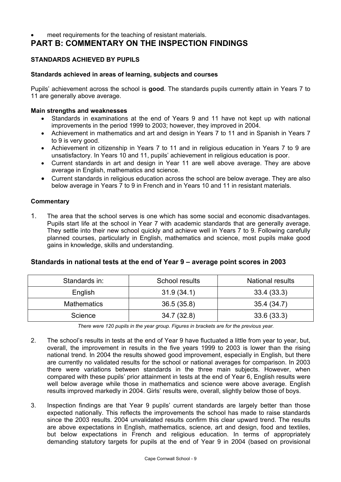# meet requirements for the teaching of resistant materials.

# **PART B: COMMENTARY ON THE INSPECTION FINDINGS**

# **STANDARDS ACHIEVED BY PUPILS**

# **Standards achieved in areas of learning, subjects and courses**

Pupils' achievement across the school is **good**. The standards pupils currently attain in Years 7 to 11 are generally above average.

# **Main strengths and weaknesses**

- Standards in examinations at the end of Years 9 and 11 have not kept up with national improvements in the period 1999 to 2003; however, they improved in 2004.
- Achievement in mathematics and art and design in Years 7 to 11 and in Spanish in Years 7 to 9 is very good.
- Achievement in citizenship in Years 7 to 11 and in religious education in Years 7 to 9 are unsatisfactory. In Years 10 and 11, pupils' achievement in religious education is poor.
- Current standards in art and design in Year 11 are well above average. They are above average in English, mathematics and science.
- Current standards in religious education across the school are below average. They are also below average in Years 7 to 9 in French and in Years 10 and 11 in resistant materials.

# **Commentary**

1. The area that the school serves is one which has some social and economic disadvantages. Pupils start life at the school in Year 7 with academic standards that are generally average. They settle into their new school quickly and achieve well in Years 7 to 9. Following carefully planned courses, particularly in English, mathematics and science, most pupils make good gains in knowledge, skills and understanding.

# **Standards in national tests at the end of Year 9 – average point scores in 2003**

| Standards in:      | School results | <b>National results</b> |
|--------------------|----------------|-------------------------|
| English            | 31.9(34.1)     | 33.4(33.3)              |
| <b>Mathematics</b> | 36.5(35.8)     | 35.4(34.7)              |
| Science            | 34.7(32.8)     | 33.6(33.3)              |

*There were 120 pupils in the year group. Figures in brackets are for the previous year.* 

- 2. The school's results in tests at the end of Year 9 have fluctuated a little from year to year, but, overall, the improvement in results in the five years 1999 to 2003 is lower than the rising national trend. In 2004 the results showed good improvement, especially in English, but there are currently no validated results for the school or national averages for comparison. In 2003 there were variations between standards in the three main subjects. However, when compared with these pupils' prior attainment in tests at the end of Year 6, English results were well below average while those in mathematics and science were above average. English results improved markedly in 2004. Girls' results were, overall, slightly below those of boys.
- 3. Inspection findings are that Year 9 pupils' current standards are largely better than those expected nationally. This reflects the improvements the school has made to raise standards since the 2003 results. 2004 unvalidated results confirm this clear upward trend. The results are above expectations in English, mathematics, science, art and design, food and textiles, but below expectations in French and religious education. In terms of appropriately demanding statutory targets for pupils at the end of Year 9 in 2004 (based on provisional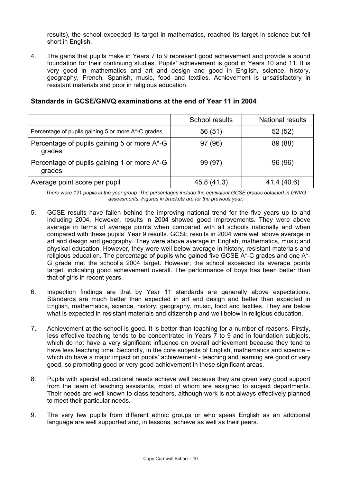results), the school exceeded its target in mathematics, reached its target in science but fell short in English.

4. The gains that pupils make in Years 7 to 9 represent good achievement and provide a sound foundation for their continuing studies. Pupils' achievement is good in Years 10 and 11. It is very good in mathematics and art and design and good in English, science, history, geography, French, Spanish, music, food and textiles. Achievement is unsatisfactory in resistant materials and poor in religious education.

# **Standards in GCSE/GNVQ examinations at the end of Year 11 in 2004**

|                                                       | School results | <b>National results</b> |
|-------------------------------------------------------|----------------|-------------------------|
| Percentage of pupils gaining 5 or more A*-C grades    | 56 (51)        | 52(52)                  |
| Percentage of pupils gaining 5 or more A*-G<br>grades | 97 (96)        | 89 (88)                 |
| Percentage of pupils gaining 1 or more A*-G<br>grades | 99 (97)        | 96 (96)                 |
| Average point score per pupil                         | 45.8 (41.3)    | 41.4 (40.6)             |

*There were 121 pupils in the year group. The percentages include the equivalent GCSE grades obtained in GNVQ assessments. Figures in brackets are for the previous year.* 

- 5. GCSE results have fallen behind the improving national trend for the five years up to and including 2004. However, results in 2004 showed good improvements. They were above average in terms of average points when compared with all schools nationally and when compared with these pupils' Year 9 results. GCSE results in 2004 were well above average in art and design and geography. They were above average in English, mathematics, music and physical education. However, they were well below average in history, resistant materials and religious education. The percentage of pupils who gained five GCSE A\*-C grades and one A\*- G grade met the school's 2004 target. However, the school exceeded its average points target, indicating good achievement overall. The performance of boys has been better than that of girls in recent years.
- 6. Inspection findings are that by Year 11 standards are generally above expectations. Standards are much better than expected in art and design and better than expected in English, mathematics, science, history, geography, music, food and textiles. They are below what is expected in resistant materials and citizenship and well below in religious education.
- 7. Achievement at the school is good. It is better than teaching for a number of reasons. Firstly, less effective teaching tends to be concentrated in Years 7 to 9 and in foundation subjects, which do not have a very significant influence on overall achievement because they tend to have less teaching time. Secondly, in the core subjects of English, mathematics and science – which do have a major impact on pupils' achievement - teaching and learning are good or very good, so promoting good or very good achievement in these significant areas.
- 8. Pupils with special educational needs achieve well because they are given very good support from the team of teaching assistants, most of whom are assigned to subject departments. Their needs are well known to class teachers, although work is not always effectively planned to meet their particular needs.
- 9. The very few pupils from different ethnic groups or who speak English as an additional language are well supported and, in lessons, achieve as well as their peers.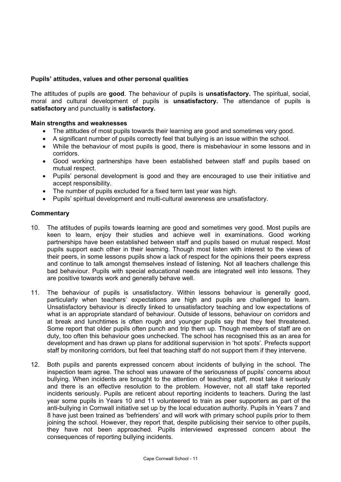# **Pupils' attitudes, values and other personal qualities**

The attitudes of pupils are **good**. The behaviour of pupils is **unsatisfactory.** The spiritual, social, moral and cultural development of pupils is **unsatisfactory.** The attendance of pupils is **satisfactory** and punctuality is **satisfactory.**

#### **Main strengths and weaknesses**

- The attitudes of most pupils towards their learning are good and sometimes very good.
- A significant number of pupils correctly feel that bullying is an issue within the school.
- While the behaviour of most pupils is good, there is misbehaviour in some lessons and in corridors.
- Good working partnerships have been established between staff and pupils based on mutual respect.
- Pupils' personal development is good and they are encouraged to use their initiative and accept responsibility.
- The number of pupils excluded for a fixed term last year was high.
- Pupils' spiritual development and multi-cultural awareness are unsatisfactory.

- 10. The attitudes of pupils towards learning are good and sometimes very good. Most pupils are keen to learn, enjoy their studies and achieve well in examinations. Good working partnerships have been established between staff and pupils based on mutual respect. Most pupils support each other in their learning. Though most listen with interest to the views of their peers, in some lessons pupils show a lack of respect for the opinions their peers express and continue to talk amongst themselves instead of listening. Not all teachers challenge this bad behaviour. Pupils with special educational needs are integrated well into lessons. They are positive towards work and generally behave well.
- 11. The behaviour of pupils is unsatisfactory. Within lessons behaviour is generally good, particularly when teachers' expectations are high and pupils are challenged to learn. Unsatisfactory behaviour is directly linked to unsatisfactory teaching and low expectations of what is an appropriate standard of behaviour. Outside of lessons, behaviour on corridors and at break and lunchtimes is often rough and younger pupils say that they feel threatened. Some report that older pupils often punch and trip them up. Though members of staff are on duty, too often this behaviour goes unchecked. The school has recognised this as an area for development and has drawn up plans for additional supervision in 'hot spots'. Prefects support staff by monitoring corridors, but feel that teaching staff do not support them if they intervene.
- 12. Both pupils and parents expressed concern about incidents of bullying in the school. The inspection team agree. The school was unaware of the seriousness of pupils' concerns about bullying. When incidents are brought to the attention of teaching staff, most take it seriously and there is an effective resolution to the problem. However, not all staff take reported incidents seriously. Pupils are reticent about reporting incidents to teachers. During the last year some pupils in Years 10 and 11 volunteered to train as peer supporters as part of the anti-bullying in Cornwall initiative set up by the local education authority. Pupils in Years 7 and 8 have just been trained as 'befrienders' and will work with primary school pupils prior to them joining the school. However, they report that, despite publicising their service to other pupils, they have not been approached. Pupils interviewed expressed concern about the consequences of reporting bullying incidents.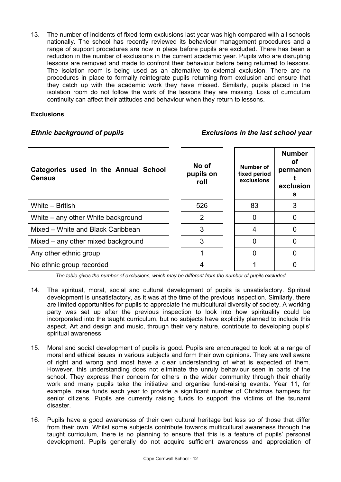13. The number of incidents of fixed-term exclusions last year was high compared with all schools nationally. The school has recently reviewed its behaviour management procedures and a range of support procedures are now in place before pupils are excluded. There has been a reduction in the number of exclusions in the current academic year. Pupils who are disrupting lessons are removed and made to confront their behaviour before being returned to lessons. The isolation room is being used as an alternative to external exclusion. There are no procedures in place to formally reintegrate pupils returning from exclusion and ensure that they catch up with the academic work they have missed. Similarly, pupils placed in the isolation room do not follow the work of the lessons they are missing. Loss of curriculum continuity can affect their attitudes and behaviour when they return to lessons.

# **Exclusions**

# *Ethnic background of pupils Exclusions in the last school year*

| Categories used in the Annual School<br><b>Census</b> | No of<br>pupils on<br>roll | Number of<br>fixed period<br>exclusions | <b>Number</b><br>Οf<br>permanen<br>exclusion<br>s |
|-------------------------------------------------------|----------------------------|-----------------------------------------|---------------------------------------------------|
| White – British                                       | 526                        | 83                                      |                                                   |
| White – any other White background                    | 2                          | 0                                       |                                                   |
| Mixed - White and Black Caribbean                     | 3                          | 4                                       |                                                   |
| Mixed – any other mixed background                    | 3                          | 0                                       |                                                   |
| Any other ethnic group                                |                            | O                                       |                                                   |
| No ethnic group recorded                              |                            |                                         |                                                   |

*The table gives the number of exclusions, which may be different from the number of pupils excluded.*

- 14. The spiritual, moral, social and cultural development of pupils is unsatisfactory. Spiritual development is unsatisfactory, as it was at the time of the previous inspection. Similarly, there are limited opportunities for pupils to appreciate the multicultural diversity of society. A working party was set up after the previous inspection to look into how spirituality could be incorporated into the taught curriculum, but no subjects have explicitly planned to include this aspect. Art and design and music, through their very nature, contribute to developing pupils' spiritual awareness.
- 15. Moral and social development of pupils is good. Pupils are encouraged to look at a range of moral and ethical issues in various subjects and form their own opinions. They are well aware of right and wrong and most have a clear understanding of what is expected of them. However, this understanding does not eliminate the unruly behaviour seen in parts of the school. They express their concern for others in the wider community through their charity work and many pupils take the initiative and organise fund-raising events. Year 11, for example, raise funds each year to provide a significant number of Christmas hampers for senior citizens. Pupils are currently raising funds to support the victims of the tsunami disaster.
- 16. Pupils have a good awareness of their own cultural heritage but less so of those that differ from their own. Whilst some subjects contribute towards multicultural awareness through the taught curriculum, there is no planning to ensure that this is a feature of pupils' personal development. Pupils generally do not acquire sufficient awareness and appreciation of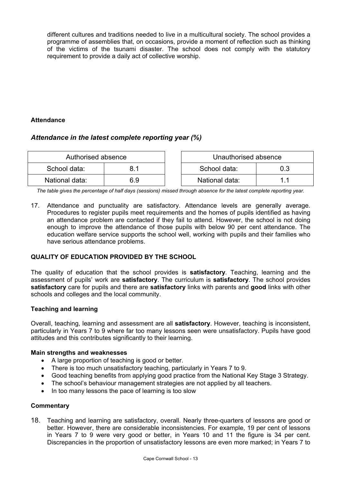different cultures and traditions needed to live in a multicultural society. The school provides a programme of assemblies that, on occasions, provide a moment of reflection such as thinking of the victims of the tsunami disaster. The school does not comply with the statutory requirement to provide a daily act of collective worship.

# **Attendance**

# *Attendance in the latest complete reporting year (%)*

| Authorised absence |     | Unauthorised absence |     |
|--------------------|-----|----------------------|-----|
| School data:       |     | School data:         | 0.3 |
| National data:     | 6.9 | National data:       |     |

*The table gives the percentage of half days (sessions) missed through absence for the latest complete reporting year.*

17. Attendance and punctuality are satisfactory. Attendance levels are generally average. Procedures to register pupils meet requirements and the homes of pupils identified as having an attendance problem are contacted if they fail to attend. However, the school is not doing enough to improve the attendance of those pupils with below 90 per cent attendance. The education welfare service supports the school well, working with pupils and their families who have serious attendance problems.

# **QUALITY OF EDUCATION PROVIDED BY THE SCHOOL**

The quality of education that the school provides is **satisfactory**. Teaching, learning and the assessment of pupils' work are **satisfactory**. The curriculum is **satisfactory**. The school provides **satisfactory** care for pupils and there are **satisfactory** links with parents and **good** links with other schools and colleges and the local community.

# **Teaching and learning**

Overall, teaching, learning and assessment are all **satisfactory**. However, teaching is inconsistent, particularly in Years 7 to 9 where far too many lessons seen were unsatisfactory. Pupils have good attitudes and this contributes significantly to their learning.

# **Main strengths and weaknesses**

- A large proportion of teaching is good or better.
- There is too much unsatisfactory teaching, particularly in Years 7 to 9.
- Good teaching benefits from applying good practice from the National Key Stage 3 Strategy.
- The school's behaviour management strategies are not applied by all teachers.
- In too many lessons the pace of learning is too slow

# **Commentary**

18. Teaching and learning are satisfactory, overall. Nearly three-quarters of lessons are good or better. However, there are considerable inconsistencies. For example, 19 per cent of lessons in Years 7 to 9 were very good or better, in Years 10 and 11 the figure is 34 per cent. Discrepancies in the proportion of unsatisfactory lessons are even more marked; in Years 7 to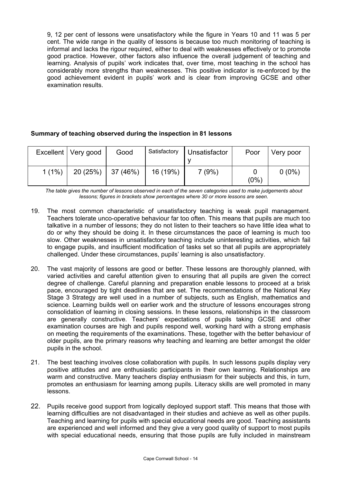9, 12 per cent of lessons were unsatisfactory while the figure in Years 10 and 11 was 5 per cent. The wide range in the quality of lessons is because too much monitoring of teaching is informal and lacks the rigour required, either to deal with weaknesses effectively or to promote good practice. However, other factors also influence the overall judgement of teaching and learning. Analysis of pupils' work indicates that, over time, most teaching in the school has considerably more strengths than weaknesses. This positive indicator is re-enforced by the good achievement evident in pupils' work and is clear from improving GCSE and other examination results.

# **Summary of teaching observed during the inspection in 81 lessons**

|          | Excellent   Very good | Good     | Satisfactory | <b>Unsatisfactor</b> | Poor    | Very poor |
|----------|-----------------------|----------|--------------|----------------------|---------|-----------|
| $1(1\%)$ | 20(25%)               | 37 (46%) | 16 (19%)     | 7(9%)                | $(0\%)$ | $0(0\%)$  |

*The table gives the number of lessons observed in each of the seven categories used to make judgements about lessons; figures in brackets show percentages where 30 or more lessons are seen.* 

- 19. The most common characteristic of unsatisfactory teaching is weak pupil management. Teachers tolerate unco-operative behaviour far too often. This means that pupils are much too talkative in a number of lessons; they do not listen to their teachers so have little idea what to do or why they should be doing it. In these circumstances the pace of learning is much too slow. Other weaknesses in unsatisfactory teaching include uninteresting activities, which fail to engage pupils, and insufficient modification of tasks set so that all pupils are appropriately challenged. Under these circumstances, pupils' learning is also unsatisfactory.
- 20. The vast majority of lessons are good or better. These lessons are thoroughly planned, with varied activities and careful attention given to ensuring that all pupils are given the correct degree of challenge. Careful planning and preparation enable lessons to proceed at a brisk pace, encouraged by tight deadlines that are set. The recommendations of the National Key Stage 3 Strategy are well used in a number of subjects, such as English, mathematics and science. Learning builds well on earlier work and the structure of lessons encourages strong consolidation of learning in closing sessions. In these lessons, relationships in the classroom are generally constructive. Teachers' expectations of pupils taking GCSE and other examination courses are high and pupils respond well, working hard with a strong emphasis on meeting the requirements of the examinations. These, together with the better behaviour of older pupils, are the primary reasons why teaching and learning are better amongst the older pupils in the school.
- 21. The best teaching involves close collaboration with pupils. In such lessons pupils display very positive attitudes and are enthusiastic participants in their own learning. Relationships are warm and constructive. Many teachers display enthusiasm for their subjects and this, in turn, promotes an enthusiasm for learning among pupils. Literacy skills are well promoted in many lessons.
- 22. Pupils receive good support from logically deployed support staff. This means that those with learning difficulties are not disadvantaged in their studies and achieve as well as other pupils. Teaching and learning for pupils with special educational needs are good. Teaching assistants are experienced and well informed and they give a very good quality of support to most pupils with special educational needs, ensuring that those pupils are fully included in mainstream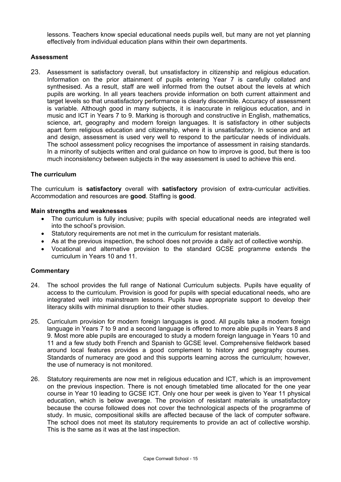lessons. Teachers know special educational needs pupils well, but many are not yet planning effectively from individual education plans within their own departments.

# **Assessment**

23. Assessment is satisfactory overall, but unsatisfactory in citizenship and religious education. Information on the prior attainment of pupils entering Year 7 is carefully collated and synthesised. As a result, staff are well informed from the outset about the levels at which pupils are working. In all years teachers provide information on both current attainment and target levels so that unsatisfactory performance is clearly discernible. Accuracy of assessment is variable. Although good in many subjects, it is inaccurate in religious education, and in music and ICT in Years 7 to 9. Marking is thorough and constructive in English, mathematics, science, art, geography and modern foreign languages. It is satisfactory in other subjects apart form religious education and citizenship, where it is unsatisfactory. In science and art and design, assessment is used very well to respond to the particular needs of individuals. The school assessment policy recognises the importance of assessment in raising standards. In a minority of subjects written and oral guidance on how to improve is good, but there is too much inconsistency between subjects in the way assessment is used to achieve this end.

#### **The curriculum**

The curriculum is **satisfactory** overall with **satisfactory** provision of extra-curricular activities. Accommodation and resources are **good**. Staffing is **good**.

#### **Main strengths and weaknesses**

- The curriculum is fully inclusive; pupils with special educational needs are integrated well into the school's provision.
- Statutory requirements are not met in the curriculum for resistant materials.
- As at the previous inspection, the school does not provide a daily act of collective worship.
- Vocational and alternative provision to the standard GCSE programme extends the curriculum in Years 10 and 11.

- 24. The school provides the full range of National Curriculum subjects. Pupils have equality of access to the curriculum. Provision is good for pupils with special educational needs, who are integrated well into mainstream lessons. Pupils have appropriate support to develop their literacy skills with minimal disruption to their other studies.
- 25. Curriculum provision for modern foreign languages is good. All pupils take a modern foreign language in Years 7 to 9 and a second language is offered to more able pupils in Years 8 and 9. Most more able pupils are encouraged to study a modern foreign language in Years 10 and 11 and a few study both French and Spanish to GCSE level. Comprehensive fieldwork based around local features provides a good complement to history and geography courses. Standards of numeracy are good and this supports learning across the curriculum; however, the use of numeracy is not monitored.
- 26. Statutory requirements are now met in religious education and ICT, which is an improvement on the previous inspection. There is not enough timetabled time allocated for the one year course in Year 10 leading to GCSE ICT. Only one hour per week is given to Year 11 physical education, which is below average. The provision of resistant materials is unsatisfactory because the course followed does not cover the technological aspects of the programme of study. In music, compositional skills are affected because of the lack of computer software. The school does not meet its statutory requirements to provide an act of collective worship. This is the same as it was at the last inspection.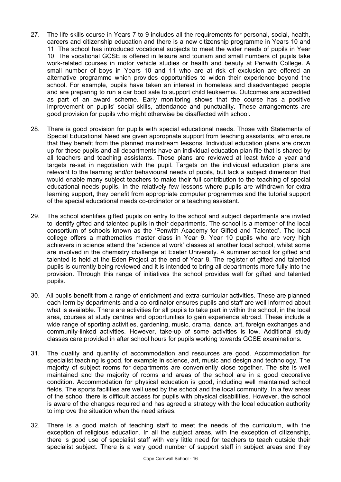- 27. The life skills course in Years 7 to 9 includes all the requirements for personal, social, health, careers and citizenship education and there is a new citizenship programme in Years 10 and 11. The school has introduced vocational subjects to meet the wider needs of pupils in Year 10. The vocational GCSE is offered in leisure and tourism and small numbers of pupils take work-related courses in motor vehicle studies or health and beauty at Penwith College. A small number of boys in Years 10 and 11 who are at risk of exclusion are offered an alternative programme which provides opportunities to widen their experience beyond the school. For example, pupils have taken an interest in homeless and disadvantaged people and are preparing to run a car boot sale to support child leukaemia. Outcomes are accredited as part of an award scheme. Early monitoring shows that the course has a positive improvement on pupils' social skills, attendance and punctuality. These arrangements are good provision for pupils who might otherwise be disaffected with school.
- 28. There is good provision for pupils with special educational needs. Those with Statements of Special Educational Need are given appropriate support from teaching assistants, who ensure that they benefit from the planned mainstream lessons. Individual education plans are drawn up for these pupils and all departments have an individual education plan file that is shared by all teachers and teaching assistants. These plans are reviewed at least twice a year and targets re-set in negotiation with the pupil. Targets on the individual education plans are relevant to the learning and/or behavioural needs of pupils, but lack a subject dimension that would enable many subject teachers to make their full contribution to the teaching of special educational needs pupils. In the relatively few lessons where pupils are withdrawn for extra learning support, they benefit from appropriate computer programmes and the tutorial support of the special educational needs co-ordinator or a teaching assistant.
- 29. The school identifies gifted pupils on entry to the school and subject departments are invited to identify gifted and talented pupils in their departments. The school is a member of the local consortium of schools known as the 'Penwith Academy for Gifted and Talented'. The local college offers a mathematics master class in Year 9. Year 10 pupils who are very high achievers in science attend the 'science at work' classes at another local school, whilst some are involved in the chemistry challenge at Exeter University. A summer school for gifted and talented is held at the Eden Project at the end of Year 8. The register of gifted and talented pupils is currently being reviewed and it is intended to bring all departments more fully into the provision. Through this range of initiatives the school provides well for gifted and talented pupils.
- 30. All pupils benefit from a range of enrichment and extra-curricular activities. These are planned each term by departments and a co-ordinator ensures pupils and staff are well informed about what is available. There are activities for all pupils to take part in within the school, in the local area, courses at study centres and opportunities to gain experience abroad. These include a wide range of sporting activities, gardening, music, drama, dance, art, foreign exchanges and community-linked activities. However, take-up of some activities is low. Additional study classes care provided in after school hours for pupils working towards GCSE examinations.
- 31. The quality and quantity of accommodation and resources are good. Accommodation for specialist teaching is good, for example in science, art, music and design and technology. The majority of subject rooms for departments are conveniently close together. The site is well maintained and the majority of rooms and areas of the school are in a good decorative condition. Accommodation for physical education is good, including well maintained school fields. The sports facilities are well used by the school and the local community. In a few areas of the school there is difficult access for pupils with physical disabilities. However, the school is aware of the changes required and has agreed a strategy with the local education authority to improve the situation when the need arises.
- 32. There is a good match of teaching staff to meet the needs of the curriculum, with the exception of religious education. In all the subject areas, with the exception of citizenship, there is good use of specialist staff with very little need for teachers to teach outside their specialist subject. There is a very good number of support staff in subject areas and they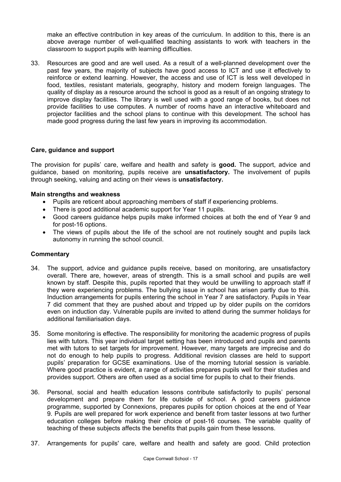make an effective contribution in key areas of the curriculum. In addition to this, there is an above average number of well-qualified teaching assistants to work with teachers in the classroom to support pupils with learning difficulties.

33. Resources are good and are well used. As a result of a well-planned development over the past few years, the majority of subjects have good access to ICT and use it effectively to reinforce or extend learning. However, the access and use of ICT is less well developed in food, textiles, resistant materials, geography, history and modern foreign languages. The quality of display as a resource around the school is good as a result of an ongoing strategy to improve display facilities. The library is well used with a good range of books, but does not provide facilities to use computes. A number of rooms have an interactive whiteboard and projector facilities and the school plans to continue with this development. The school has made good progress during the last few years in improving its accommodation.

# **Care, guidance and support**

The provision for pupils' care, welfare and health and safety is **good.** The support, advice and guidance, based on monitoring, pupils receive are **unsatisfactory.** The involvement of pupils through seeking, valuing and acting on their views is **unsatisfactory.**

#### **Main strengths and weakness**

- Pupils are reticent about approaching members of staff if experiencing problems.
- There is good additional academic support for Year 11 pupils.
- Good careers guidance helps pupils make informed choices at both the end of Year 9 and for post-16 options.
- The views of pupils about the life of the school are not routinely sought and pupils lack autonomy in running the school council.

- 34. The support, advice and guidance pupils receive, based on monitoring, are unsatisfactory overall. There are, however, areas of strength. This is a small school and pupils are well known by staff. Despite this, pupils reported that they would be unwilling to approach staff if they were experiencing problems. The bullying issue in school has arisen partly due to this. Induction arrangements for pupils entering the school in Year 7 are satisfactory. Pupils in Year 7 did comment that they are pushed about and tripped up by older pupils on the corridors even on induction day. Vulnerable pupils are invited to attend during the summer holidays for additional familiarisation days.
- 35. Some monitoring is effective. The responsibility for monitoring the academic progress of pupils lies with tutors. This year individual target setting has been introduced and pupils and parents met with tutors to set targets for improvement. However, many targets are imprecise and do not do enough to help pupils to progress. Additional revision classes are held to support pupils' preparation for GCSE examinations. Use of the morning tutorial session is variable. Where good practice is evident, a range of activities prepares pupils well for their studies and provides support. Others are often used as a social time for pupils to chat to their friends.
- 36. Personal, social and health education lessons contribute satisfactorily to pupils' personal development and prepare them for life outside of school. A good careers guidance programme, supported by Connexions, prepares pupils for option choices at the end of Year 9. Pupils are well prepared for work experience and benefit from taster lessons at two further education colleges before making their choice of post-16 courses. The variable quality of teaching of these subjects affects the benefits that pupils gain from these lessons.
- 37. Arrangements for pupils' care, welfare and health and safety are good. Child protection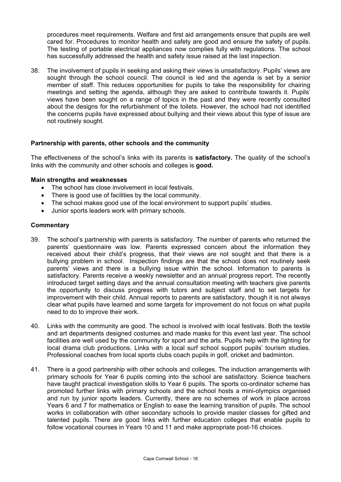procedures meet requirements. Welfare and first aid arrangements ensure that pupils are well cared for. Procedures to monitor health and safety are good and ensure the safety of pupils. The testing of portable electrical appliances now complies fully with regulations. The school has successfully addressed the health and safety issue raised at the last inspection.

38. The involvement of pupils in seeking and asking their views is unsatisfactory. Pupils' views are sought through the school council. The council is led and the agenda is set by a senior member of staff. This reduces opportunities for pupils to take the responsibility for chairing meetings and setting the agenda, although they are asked to contribute towards it. Pupils' views have been sought on a range of topics in the past and they were recently consulted about the designs for the refurbishment of the toilets. However, the school had not identified the concerns pupils have expressed about bullying and their views about this type of issue are not routinely sought.

# **Partnership with parents, other schools and the community**

The effectiveness of the school's links with its parents is **satisfactory.** The quality of the school's links with the community and other schools and colleges is **good.**

#### **Main strengths and weaknesses**

- The school has close involvement in local festivals.
- There is good use of facilities by the local community.
- The school makes good use of the local environment to support pupils' studies.
- Junior sports leaders work with primary schools.

- 39. The school's partnership with parents is satisfactory. The number of parents who returned the parents' questionnaire was low. Parents expressed concern about the information they received about their child's progress, that their views are not sought and that there is a bullying problem in school. Inspection findings are that the school does not routinely seek parents' views and there is a bullying issue within the school. Information to parents is satisfactory. Parents receive a weekly newsletter and an annual progress report. The recently introduced target setting days and the annual consultation meeting with teachers give parents the opportunity to discuss progress with tutors and subject staff and to set targets for improvement with their child. Annual reports to parents are satisfactory, though it is not always clear what pupils have learned and some targets for improvement do not focus on what pupils need to do to improve their work.
- 40. Links with the community are good. The school is involved with local festivals. Both the textile and art departments designed costumes and made masks for this event last year. The school facilities are well used by the community for sport and the arts. Pupils help with the lighting for local drama club productions. Links with a local surf school support pupils' tourism studies. Professional coaches from local sports clubs coach pupils in golf, cricket and badminton.
- 41. There is a good partnership with other schools and colleges. The induction arrangements with primary schools for Year 6 pupils coming into the school are satisfactory. Science teachers have taught practical investigation skills to Year 6 pupils. The sports co-ordinator scheme has promoted further links with primary schools and the school hosts a mini-olympics organised and run by junior sports leaders. Currently, there are no schemes of work in place across Years 6 and 7 for mathematics or English to ease the learning transition of pupils. The school works in collaboration with other secondary schools to provide master classes for gifted and talented pupils. There are good links with further education colleges that enable pupils to follow vocational courses in Years 10 and 11 and make appropriate post-16 choices.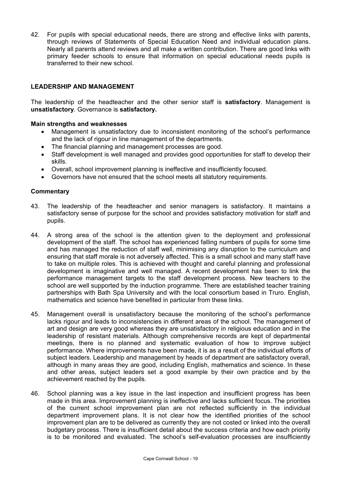42. For pupils with special educational needs, there are strong and effective links with parents, through reviews of Statements of Special Education Need and individual education plans. Nearly all parents attend reviews and all make a written contribution. There are good links with primary feeder schools to ensure that information on special educational needs pupils is transferred to their new school.

# **LEADERSHIP AND MANAGEMENT**

The leadership of the headteacher and the other senior staff is **satisfactory**. Management is **unsatisfactory**. Governance is **satisfactory.** 

#### **Main strengths and weaknesses**

- Management is unsatisfactory due to inconsistent monitoring of the school's performance and the lack of rigour in line management of the departments.
- The financial planning and management processes are good.
- Staff development is well managed and provides good opportunities for staff to develop their skills.
- Overall, school improvement planning is ineffective and insufficiently focused.
- Governors have not ensured that the school meets all statutory requirements.

- 43. The leadership of the headteacher and senior managers is satisfactory. It maintains a satisfactory sense of purpose for the school and provides satisfactory motivation for staff and pupils.
- 44. A strong area of the school is the attention given to the deployment and professional development of the staff. The school has experienced falling numbers of pupils for some time and has managed the reduction of staff well, minimising any disruption to the curriculum and ensuring that staff morale is not adversely affected. This is a small school and many staff have to take on multiple roles. This is achieved with thought and careful planning and professional development is imaginative and well managed. A recent development has been to link the performance management targets to the staff development process. New teachers to the school are well supported by the induction programme. There are established teacher training partnerships with Bath Spa University and with the local consortium based in Truro. English, mathematics and science have benefited in particular from these links.
- 45. Management overall is unsatisfactory because the monitoring of the school's performance lacks rigour and leads to inconsistencies in different areas of the school. The management of art and design are very good whereas they are unsatisfactory in religious education and in the leadership of resistant materials. Although comprehensive records are kept of departmental meetings, there is no planned and systematic evaluation of how to improve subject performance. Where improvements have been made, it is as a result of the individual efforts of subject leaders. Leadership and management by heads of department are satisfactory overall, although in many areas they are good, including English, mathematics and science. In these and other areas, subject leaders set a good example by their own practice and by the achievement reached by the pupils.
- 46. School planning was a key issue in the last inspection and insufficient progress has been made in this area. Improvement planning is ineffective and lacks sufficient focus. The priorities of the current school improvement plan are not reflected sufficiently in the individual department improvement plans. It is not clear how the identified priorities of the school improvement plan are to be delivered as currently they are not costed or linked into the overall budgetary process. There is insufficient detail about the success criteria and how each priority is to be monitored and evaluated. The school's self-evaluation processes are insufficiently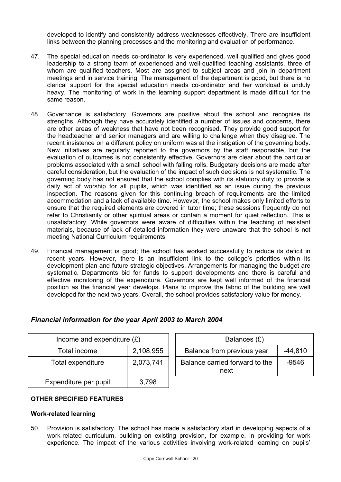developed to identify and consistently address weaknesses effectively. There are insufficient links between the planning processes and the monitoring and evaluation of performance.

- 47. The special education needs co-ordinator is very experienced, well qualified and gives good leadership to a strong team of experienced and well-qualified teaching assistants, three of whom are qualified teachers. Most are assigned to subject areas and join in department meetings and in service training. The management of the department is good, but there is no clerical support for the special education needs co-ordinator and her workload is unduly heavy. The monitoring of work in the learning support department is made difficult for the same reason.
- 48. Governance is satisfactory. Governors are positive about the school and recognise its strengths. Although they have accurately identified a number of issues and concerns, there are other areas of weakness that have not been recognised. They provide good support for the headteacher and senior managers and are willing to challenge when they disagree. The recent insistence on a different policy on uniform was at the instigation of the governing body. New initiatives are regularly reported to the governors by the staff responsible, but the evaluation of outcomes is not consistently effective. Governors are clear about the particular problems associated with a small school with falling rolls. Budgetary decisions are made after careful consideration, but the evaluation of the impact of such decisions is not systematic. The governing body has not ensured that the school complies with its statutory duty to provide a daily act of worship for all pupils, which was identified as an issue during the previous inspection. The reasons given for this continuing breach of requirements are the limited accommodation and a lack of available time. However, the school makes only limited efforts to ensure that the required elements are covered in tutor time; these sessions frequently do not refer to Christianity or other spiritual areas or contain a moment for quiet reflection. This is unsatisfactory. While governors were aware of difficulties within the teaching of resistant materials, because of lack of detailed information they were unaware that the school is not meeting National Curriculum requirements.
- 49. Financial management is good; the school has worked successfully to reduce its deficit in recent years. However, there is an insufficient link to the college's priorities within its development plan and future strategic objectives. Arrangements for managing the budget are systematic. Departments bid for funds to support developments and there is careful and effective monitoring of the expenditure. Governors are kept well informed of the financial position as the financial year develops. Plans to improve the fabric of the building are well developed for the next two years. Overall, the school provides satisfactory value for money.

| Income and expenditure $(E)$ |           | Balances $(E)$                                    |  |
|------------------------------|-----------|---------------------------------------------------|--|
| Total income                 | 2,108,955 | Balance from previous year<br>$-44,810$           |  |
| Total expenditure            | 2,073,741 | Balance carried forward to the<br>$-9546$<br>next |  |
| Expenditure per pupil        | 3,798     |                                                   |  |

# *Financial information for the year April 2003 to March 2004*

# **OTHER SPECIFIED FEATURES**

# **Work-related learning**

50. Provision is satisfactory. The school has made a satisfactory start in developing aspects of a work-related curriculum, building on existing provision, for example, in providing for work experience. The impact of the various activities involving work-related learning on pupils'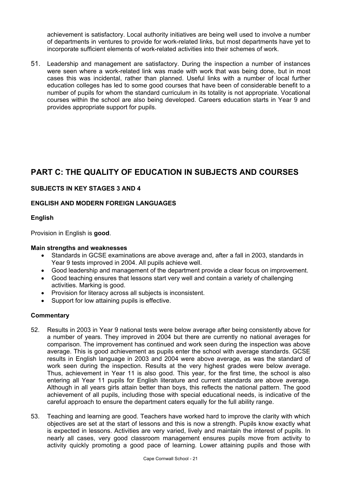achievement is satisfactory. Local authority initiatives are being well used to involve a number of departments in ventures to provide for work-related links, but most departments have yet to incorporate sufficient elements of work-related activities into their schemes of work.

51. Leadership and management are satisfactory. During the inspection a number of instances were seen where a work-related link was made with work that was being done, but in most cases this was incidental, rather than planned. Useful links with a number of local further education colleges has led to some good courses that have been of considerable benefit to a number of pupils for whom the standard curriculum in its totality is not appropriate. Vocational courses within the school are also being developed. Careers education starts in Year 9 and provides appropriate support for pupils.

# **PART C: THE QUALITY OF EDUCATION IN SUBJECTS AND COURSES**

# **SUBJECTS IN KEY STAGES 3 AND 4**

# **ENGLISH AND MODERN FOREIGN LANGUAGES**

# **English**

Provision in English is **good**.

# **Main strengths and weaknesses**

- Standards in GCSE examinations are above average and, after a fall in 2003, standards in Year 9 tests improved in 2004. All pupils achieve well.
- Good leadership and management of the department provide a clear focus on improvement.
- Good teaching ensures that lessons start very well and contain a variety of challenging activities. Marking is good.
- Provision for literacy across all subjects is inconsistent.
- Support for low attaining pupils is effective.

- 52. Results in 2003 in Year 9 national tests were below average after being consistently above for a number of years. They improved in 2004 but there are currently no national averages for comparison. The improvement has continued and work seen during the inspection was above average. This is good achievement as pupils enter the school with average standards. GCSE results in English language in 2003 and 2004 were above average, as was the standard of work seen during the inspection. Results at the very highest grades were below average. Thus, achievement in Year 11 is also good. This year, for the first time, the school is also entering all Year 11 pupils for English literature and current standards are above average. Although in all years girls attain better than boys, this reflects the national pattern. The good achievement of all pupils, including those with special educational needs, is indicative of the careful approach to ensure the department caters equally for the full ability range.
- 53. Teaching and learning are good. Teachers have worked hard to improve the clarity with which objectives are set at the start of lessons and this is now a strength. Pupils know exactly what is expected in lessons. Activities are very varied, lively and maintain the interest of pupils. In nearly all cases, very good classroom management ensures pupils move from activity to activity quickly promoting a good pace of learning. Lower attaining pupils and those with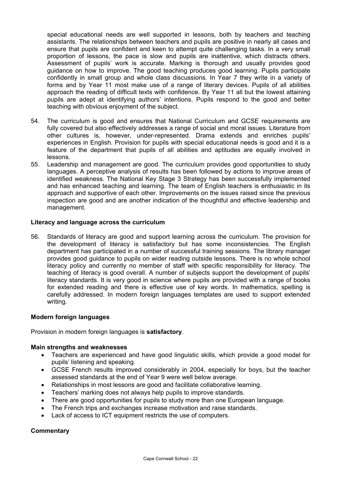special educational needs are well supported in lessons, both by teachers and teaching assistants. The relationships between teachers and pupils are positive in nearly all cases and ensure that pupils are confident and keen to attempt quite challenging tasks. In a very small proportion of lessons, the pace is slow and pupils are inattentive, which distracts others. Assessment of pupils' work is accurate. Marking is thorough and usually provides good guidance on how to improve. The good teaching produces good learning. Pupils participate confidently in small group and whole class discussions. In Year 7 they write in a variety of forms and by Year 11 most make use of a range of literary devices. Pupils of all abilities approach the reading of difficult texts with confidence. By Year 11 all but the lowest attaining pupils are adept at identifying authors' intentions. Pupils respond to the good and better teaching with obvious enjoyment of the subject.

- 54. The curriculum is good and ensures that National Curriculum and GCSE requirements are fully covered but also effectively addresses a range of social and moral issues. Literature from other cultures is, however, under-represented. Drama extends and enriches pupils' experiences in English. Provision for pupils with special educational needs is good and it is a feature of the department that pupils of all abilities and aptitudes are equally involved in lessons.
- 55. Leadership and management are good. The curriculum provides good opportunities to study languages. A perceptive analysis of results has been followed by actions to improve areas of identified weakness. The National Key Stage 3 Strategy has been successfully implemented and has enhanced teaching and learning. The team of English teachers is enthusiastic in its approach and supportive of each other. Improvements on the issues raised since the previous inspection are good and are another indication of the thoughtful and effective leadership and management.

# **Literacy and language across the curriculum**

56. Standards of literacy are good and support learning across the curriculum. The provision for the development of literacy is satisfactory but has some inconsistencies. The English department has participated in a number of successful training sessions. The library manager provides good guidance to pupils on wider reading outside lessons. There is no whole school literacy policy and currently no member of staff with specific responsibility for literacy. The teaching of literacy is good overall. A number of subjects support the development of pupils' literacy standards. It is very good in science where pupils are provided with a range of books for extended reading and there is effective use of key words. In mathematics, spelling is carefully addressed. In modern foreign languages templates are used to support extended writing.

#### **Modern foreign languages**

Provision in modern foreign languages is **satisfactory**.

#### **Main strengths and weaknesses**

- Teachers are experienced and have good linguistic skills, which provide a good model for pupils' listening and speaking.
- GCSE French results improved considerably in 2004, especially for boys, but the teacher assessed standards at the end of Year 9 were well below average.
- Relationships in most lessons are good and facilitate collaborative learning.
- Teachers' marking does not always help pupils to improve standards.
- There are good opportunities for pupils to study more than one European language.
- The French trips and exchanges increase motivation and raise standards.
- Lack of access to ICT equipment restricts the use of computers.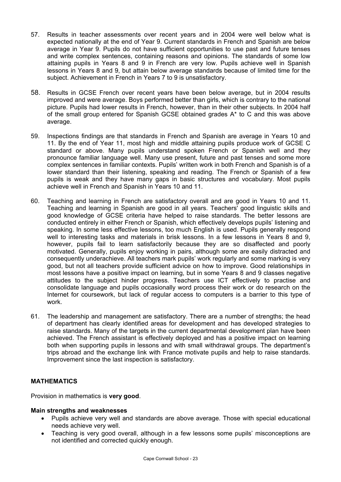- 57. Results in teacher assessments over recent years and in 2004 were well below what is expected nationally at the end of Year 9. Current standards in French and Spanish are below average in Year 9. Pupils do not have sufficient opportunities to use past and future tenses and write complex sentences, containing reasons and opinions. The standards of some low attaining pupils in Years 8 and 9 in French are very low. Pupils achieve well in Spanish lessons in Years 8 and 9, but attain below average standards because of limited time for the subject. Achievement in French in Years 7 to 9 is unsatisfactory.
- 58. Results in GCSE French over recent years have been below average, but in 2004 results improved and were average. Boys performed better than girls, which is contrary to the national picture. Pupils had lower results in French, however, than in their other subjects. In 2004 half of the small group entered for Spanish GCSE obtained grades A\* to C and this was above average.
- 59. Inspections findings are that standards in French and Spanish are average in Years 10 and 11. By the end of Year 11, most high and middle attaining pupils produce work of GCSE C standard or above. Many pupils understand spoken French or Spanish well and they pronounce familiar language well. Many use present, future and past tenses and some more complex sentences in familiar contexts. Pupils' written work in both French and Spanish is of a lower standard than their listening, speaking and reading. The French or Spanish of a few pupils is weak and they have many gaps in basic structures and vocabulary. Most pupils achieve well in French and Spanish in Years 10 and 11.
- 60. Teaching and learning in French are satisfactory overall and are good in Years 10 and 11. Teaching and learning in Spanish are good in all years. Teachers' good linguistic skills and good knowledge of GCSE criteria have helped to raise standards. The better lessons are conducted entirely in either French or Spanish, which effectively develops pupils' listening and speaking. In some less effective lessons, too much English is used. Pupils generally respond well to interesting tasks and materials in brisk lessons. In a few lessons in Years 8 and 9, however, pupils fail to learn satisfactorily because they are so disaffected and poorly motivated. Generally, pupils enjoy working in pairs, although some are easily distracted and consequently underachieve. All teachers mark pupils' work regularly and some marking is very good, but not all teachers provide sufficient advice on how to improve. Good relationships in most lessons have a positive impact on learning, but in some Years 8 and 9 classes negative attitudes to the subject hinder progress. Teachers use ICT effectively to practise and consolidate language and pupils occasionally word process their work or do research on the Internet for coursework, but lack of regular access to computers is a barrier to this type of work.
- 61. The leadership and management are satisfactory. There are a number of strengths; the head of department has clearly identified areas for development and has developed strategies to raise standards. Many of the targets in the current departmental development plan have been achieved. The French assistant is effectively deployed and has a positive impact on learning both when supporting pupils in lessons and with small withdrawal groups. The department's trips abroad and the exchange link with France motivate pupils and help to raise standards. Improvement since the last inspection is satisfactory.

# **MATHEMATICS**

Provision in mathematics is **very good**.

#### **Main strengths and weaknesses**

- Pupils achieve very well and standards are above average. Those with special educational needs achieve very well.
- Teaching is very good overall, although in a few lessons some pupils' misconceptions are not identified and corrected quickly enough.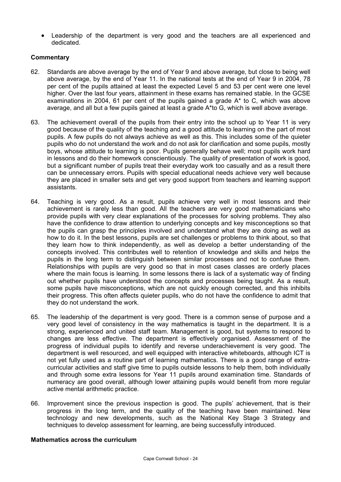• Leadership of the department is very good and the teachers are all experienced and dedicated.

#### **Commentary**

- 62. Standards are above average by the end of Year 9 and above average, but close to being well above average, by the end of Year 11. In the national tests at the end of Year 9 in 2004, 78 per cent of the pupils attained at least the expected Level 5 and 53 per cent were one level higher. Over the last four years, attainment in these exams has remained stable. In the GCSE examinations in 2004, 61 per cent of the pupils gained a grade  $A^*$  to C, which was above average, and all but a few pupils gained at least a grade A\*to G, which is well above average.
- 63. The achievement overall of the pupils from their entry into the school up to Year 11 is very good because of the quality of the teaching and a good attitude to learning on the part of most pupils. A few pupils do not always achieve as well as this. This includes some of the quieter pupils who do not understand the work and do not ask for clarification and some pupils, mostly boys, whose attitude to learning is poor. Pupils generally behave well; most pupils work hard in lessons and do their homework conscientiously. The quality of presentation of work is good, but a significant number of pupils treat their everyday work too casually and as a result there can be unnecessary errors. Pupils with special educational needs achieve very well because they are placed in smaller sets and get very good support from teachers and learning support assistants.
- 64. Teaching is very good. As a result, pupils achieve very well in most lessons and their achievement is rarely less than good. All the teachers are very good mathematicians who provide pupils with very clear explanations of the processes for solving problems. They also have the confidence to draw attention to underlying concepts and key misconceptions so that the pupils can grasp the principles involved and understand what they are doing as well as how to do it. In the best lessons, pupils are set challenges or problems to think about, so that they learn how to think independently, as well as develop a better understanding of the concepts involved. This contributes well to retention of knowledge and skills and helps the pupils in the long term to distinguish between similar processes and not to confuse them. Relationships with pupils are very good so that in most cases classes are orderly places where the main focus is learning. In some lessons there is lack of a systematic way of finding out whether pupils have understood the concepts and processes being taught. As a result, some pupils have misconceptions, which are not quickly enough corrected, and this inhibits their progress. This often affects quieter pupils, who do not have the confidence to admit that they do not understand the work.
- 65. The leadership of the department is very good. There is a common sense of purpose and a very good level of consistency in the way mathematics is taught in the department. It is a strong, experienced and united staff team. Management is good, but systems to respond to changes are less effective. The department is effectively organised. Assessment of the progress of individual pupils to identify and reverse underachievement is very good. The department is well resourced, and well equipped with interactive whiteboards, although ICT is not yet fully used as a routine part of learning mathematics. There is a good range of extracurricular activities and staff give time to pupils outside lessons to help them, both individually and through some extra lessons for Year 11 pupils around examination time. Standards of numeracy are good overall, although lower attaining pupils would benefit from more regular active mental arithmetic practice.
- 66. Improvement since the previous inspection is good. The pupils' achievement, that is their progress in the long term, and the quality of the teaching have been maintained. New technology and new developments, such as the National Key Stage 3 Strategy and techniques to develop assessment for learning, are being successfully introduced.

#### **Mathematics across the curriculum**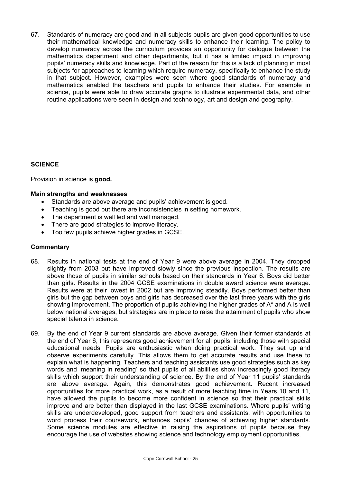67. Standards of numeracy are good and in all subjects pupils are given good opportunities to use their mathematical knowledge and numeracy skills to enhance their learning. The policy to develop numeracy across the curriculum provides an opportunity for dialogue between the mathematics department and other departments, but it has a limited impact in improving pupils' numeracy skills and knowledge. Part of the reason for this is a lack of planning in most subjects for approaches to learning which require numeracy, specifically to enhance the study in that subject. However, examples were seen where good standards of numeracy and mathematics enabled the teachers and pupils to enhance their studies. For example in science, pupils were able to draw accurate graphs to illustrate experimental data, and other routine applications were seen in design and technology, art and design and geography.

# **SCIENCE**

Provision in science is **good.** 

# **Main strengths and weaknesses**

- Standards are above average and pupils' achievement is good.
- Teaching is good but there are inconsistencies in setting homework.
- The department is well led and well managed.
- There are good strategies to improve literacy.
- Too few pupils achieve higher grades in GCSE.

- 68. Results in national tests at the end of Year 9 were above average in 2004. They dropped slightly from 2003 but have improved slowly since the previous inspection. The results are above those of pupils in similar schools based on their standards in Year 6. Boys did better than girls. Results in the 2004 GCSE examinations in double award science were average. Results were at their lowest in 2002 but are improving steadily. Boys performed better than girls but the gap between boys and girls has decreased over the last three years with the girls showing improvement. The proportion of pupils achieving the higher grades of A\* and A is well below national averages, but strategies are in place to raise the attainment of pupils who show special talents in science.
- 69. By the end of Year 9 current standards are above average. Given their former standards at the end of Year 6, this represents good achievement for all pupils, including those with special educational needs. Pupils are enthusiastic when doing practical work. They set up and observe experiments carefully. This allows them to get accurate results and use these to explain what is happening. Teachers and teaching assistants use good strategies such as key words and 'meaning in reading' so that pupils of all abilities show increasingly good literacy skills which support their understanding of science. By the end of Year 11 pupils' standards are above average. Again, this demonstrates good achievement. Recent increased opportunities for more practical work, as a result of more teaching time in Years 10 and 11, have allowed the pupils to become more confident in science so that their practical skills improve and are better than displayed in the last GCSE examinations. Where pupils' writing skills are underdeveloped, good support from teachers and assistants, with opportunities to word process their coursework, enhances pupils' chances of achieving higher standards. Some science modules are effective in raising the aspirations of pupils because they encourage the use of websites showing science and technology employment opportunities.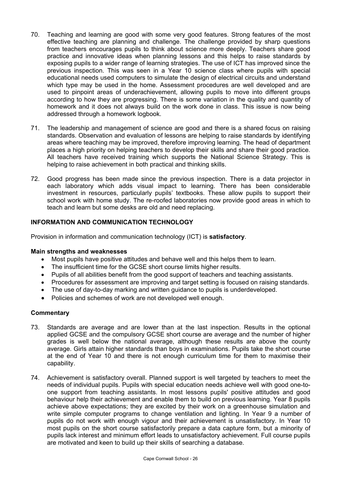- 70. Teaching and learning are good with some very good features. Strong features of the most effective teaching are planning and challenge. The challenge provided by sharp questions from teachers encourages pupils to think about science more deeply. Teachers share good practice and innovative ideas when planning lessons and this helps to raise standards by exposing pupils to a wider range of learning strategies. The use of ICT has improved since the previous inspection. This was seen in a Year 10 science class where pupils with special educational needs used computers to simulate the design of electrical circuits and understand which type may be used in the home. Assessment procedures are well developed and are used to pinpoint areas of underachievement, allowing pupils to move into different groups according to how they are progressing. There is some variation in the quality and quantity of homework and it does not always build on the work done in class. This issue is now being addressed through a homework logbook.
- 71. The leadership and management of science are good and there is a shared focus on raising standards. Observation and evaluation of lessons are helping to raise standards by identifying areas where teaching may be improved, therefore improving learning. The head of department places a high priority on helping teachers to develop their skills and share their good practice. All teachers have received training which supports the National Science Strategy. This is helping to raise achievement in both practical and thinking skills.
- 72. Good progress has been made since the previous inspection. There is a data projector in each laboratory which adds visual impact to learning. There has been considerable investment in resources, particularly pupils' textbooks. These allow pupils to support their school work with home study. The re-roofed laboratories now provide good areas in which to teach and learn but some desks are old and need replacing.

# **INFORMATION AND COMMUNICATION TECHNOLOGY**

Provision in information and communication technology (ICT) is **satisfactory**.

#### **Main strengths and weaknesses**

- Most pupils have positive attitudes and behave well and this helps them to learn.
- The insufficient time for the GCSE short course limits higher results.
- Pupils of all abilities benefit from the good support of teachers and teaching assistants.
- Procedures for assessment are improving and target setting is focused on raising standards.
- The use of day-to-day marking and written guidance to pupils is underdeveloped.
- Policies and schemes of work are not developed well enough.

- 73. Standards are average and are lower than at the last inspection. Results in the optional applied GCSE and the compulsory GCSE short course are average and the number of higher grades is well below the national average, although these results are above the county average. Girls attain higher standards than boys in examinations. Pupils take the short course at the end of Year 10 and there is not enough curriculum time for them to maximise their capability.
- 74. Achievement is satisfactory overall. Planned support is well targeted by teachers to meet the needs of individual pupils. Pupils with special education needs achieve well with good one-toone support from teaching assistants. In most lessons pupils' positive attitudes and good behaviour help their achievement and enable them to build on previous learning. Year 8 pupils achieve above expectations; they are excited by their work on a greenhouse simulation and write simple computer programs to change ventilation and lighting. In Year 9 a number of pupils do not work with enough vigour and their achievement is unsatisfactory. In Year 10 most pupils on the short course satisfactorily prepare a data capture form, but a minority of pupils lack interest and minimum effort leads to unsatisfactory achievement. Full course pupils are motivated and keen to build up their skills of searching a database.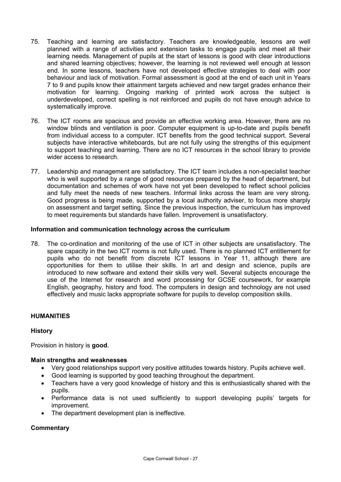- 75. Teaching and learning are satisfactory. Teachers are knowledgeable, lessons are well planned with a range of activities and extension tasks to engage pupils and meet all their learning needs. Management of pupils at the start of lessons is good with clear introductions and shared learning objectives; however, the learning is not reviewed well enough at lesson end. In some lessons, teachers have not developed effective strategies to deal with poor behaviour and lack of motivation. Formal assessment is good at the end of each unit in Years 7 to 9 and pupils know their attainment targets achieved and new target grades enhance their motivation for learning. Ongoing marking of printed work across the subject is underdeveloped, correct spelling is not reinforced and pupils do not have enough advice to systematically improve.
- 76. The ICT rooms are spacious and provide an effective working area. However, there are no window blinds and ventilation is poor. Computer equipment is up-to-date and pupils benefit from individual access to a computer. ICT benefits from the good technical support. Several subjects have interactive whiteboards, but are not fully using the strengths of this equipment to support teaching and learning. There are no ICT resources in the school library to provide wider access to research.
- 77. Leadership and management are satisfactory. The ICT team includes a non-specialist teacher who is well supported by a range of good resources prepared by the head of department, but documentation and schemes of work have not yet been developed to reflect school policies and fully meet the needs of new teachers. Informal links across the team are very strong. Good progress is being made, supported by a local authority adviser, to focus more sharply on assessment and target setting. Since the previous inspection, the curriculum has improved to meet requirements but standards have fallen. Improvement is unsatisfactory.

# **Information and communication technology across the curriculum**

78. The co-ordination and monitoring of the use of ICT in other subjects are unsatisfactory. The spare capacity in the two ICT rooms is not fully used. There is no planned ICT entitlement for pupils who do not benefit from discrete ICT lessons in Year 11, although there are opportunities for them to utilise their skills. In art and design and science, pupils are introduced to new software and extend their skills very well. Several subjects encourage the use of the Internet for research and word processing for GCSE coursework, for example English, geography, history and food. The computers in design and technology are not used effectively and music lacks appropriate software for pupils to develop composition skills.

# **HUMANITIES**

# **History**

Provision in history is **good**.

#### **Main strengths and weaknesses**

- Very good relationships support very positive attitudes towards history. Pupils achieve well.
- Good learning is supported by good teaching throughout the department.
- Teachers have a very good knowledge of history and this is enthusiastically shared with the pupils.
- Performance data is not used sufficiently to support developing pupils' targets for improvement.
- The department development plan is ineffective.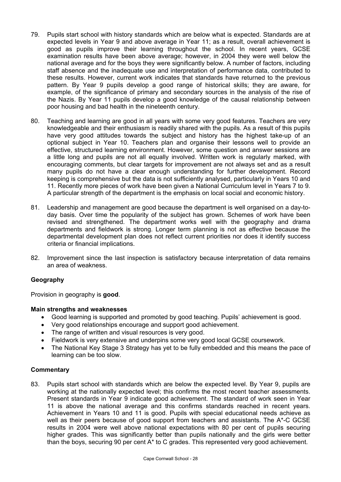- 79. Pupils start school with history standards which are below what is expected. Standards are at expected levels in Year 9 and above average in Year 11; as a result, overall achievement is good as pupils improve their learning throughout the school. In recent years, GCSE examination results have been above average; however, in 2004 they were well below the national average and for the boys they were significantly below. A number of factors, including staff absence and the inadequate use and interpretation of performance data, contributed to these results. However, current work indicates that standards have returned to the previous pattern. By Year 9 pupils develop a good range of historical skills; they are aware, for example, of the significance of primary and secondary sources in the analysis of the rise of the Nazis. By Year 11 pupils develop a good knowledge of the causal relationship between poor housing and bad health in the nineteenth century.
- 80. Teaching and learning are good in all years with some very good features. Teachers are very knowledgeable and their enthusiasm is readily shared with the pupils. As a result of this pupils have very good attitudes towards the subject and history has the highest take-up of an optional subject in Year 10. Teachers plan and organise their lessons well to provide an effective, structured learning environment. However, some question and answer sessions are a little long and pupils are not all equally involved. Written work is regularly marked, with encouraging comments, but clear targets for improvement are not always set and as a result many pupils do not have a clear enough understanding for further development. Record keeping is comprehensive but the data is not sufficiently analysed, particularly in Years 10 and 11. Recently more pieces of work have been given a National Curriculum level in Years 7 to 9. A particular strength of the department is the emphasis on local social and economic history.
- 81. Leadership and management are good because the department is well organised on a day-today basis. Over time the popularity of the subject has grown. Schemes of work have been revised and strengthened. The department works well with the geography and drama departments and fieldwork is strong. Longer term planning is not as effective because the departmental development plan does not reflect current priorities nor does it identify success criteria or financial implications.
- 82. Improvement since the last inspection is satisfactory because interpretation of data remains an area of weakness.

# **Geography**

Provision in geography is **good**.

#### **Main strengths and weaknesses**

- Good learning is supported and promoted by good teaching. Pupils' achievement is good.
- Very good relationships encourage and support good achievement.
- The range of written and visual resources is very good.
- Fieldwork is very extensive and underpins some very good local GCSE coursework.
- The National Key Stage 3 Strategy has yet to be fully embedded and this means the pace of learning can be too slow.

#### **Commentary**

83. Pupils start school with standards which are below the expected level. By Year 9, pupils are working at the nationally expected level; this confirms the most recent teacher assessments. Present standards in Year 9 indicate good achievement. The standard of work seen in Year 11 is above the national average and this confirms standards reached in recent years. Achievement in Years 10 and 11 is good. Pupils with special educational needs achieve as well as their peers because of good support from teachers and assistants. The A\*-C GCSE results in 2004 were well above national expectations with 80 per cent of pupils securing higher grades. This was significantly better than pupils nationally and the girls were better than the boys, securing 90 per cent A\* to C grades. This represented very good achievement.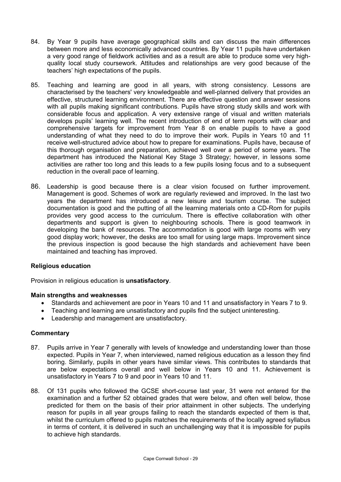- 84. By Year 9 pupils have average geographical skills and can discuss the main differences between more and less economically advanced countries. By Year 11 pupils have undertaken a very good range of fieldwork activities and as a result are able to produce some very highquality local study coursework. Attitudes and relationships are very good because of the teachers' high expectations of the pupils.
- 85. Teaching and learning are good in all years, with strong consistency. Lessons are characterised by the teachers' very knowledgeable and well-planned delivery that provides an effective, structured learning environment. There are effective question and answer sessions with all pupils making significant contributions. Pupils have strong study skills and work with considerable focus and application. A very extensive range of visual and written materials develops pupils' learning well. The recent introduction of end of term reports with clear and comprehensive targets for improvement from Year 8 on enable pupils to have a good understanding of what they need to do to improve their work. Pupils in Years 10 and 11 receive well-structured advice about how to prepare for examinations. Pupils have, because of this thorough organisation and preparation, achieved well over a period of some years. The department has introduced the National Key Stage 3 Strategy; however, in lessons some activities are rather too long and this leads to a few pupils losing focus and to a subsequent reduction in the overall pace of learning.
- 86. Leadership is good because there is a clear vision focused on further improvement. Management is good. Schemes of work are regularly reviewed and improved. In the last two years the department has introduced a new leisure and tourism course. The subject documentation is good and the putting of all the learning materials onto a CD-Rom for pupils provides very good access to the curriculum. There is effective collaboration with other departments and support is given to neighbouring schools. There is good teamwork in developing the bank of resources. The accommodation is good with large rooms with very good display work; however, the desks are too small for using large maps. Improvement since the previous inspection is good because the high standards and achievement have been maintained and teaching has improved.

#### **Religious education**

Provision in religious education is **unsatisfactory**.

#### **Main strengths and weaknesses**

- Standards and achievement are poor in Years 10 and 11 and unsatisfactory in Years 7 to 9.
- Teaching and learning are unsatisfactory and pupils find the subject uninteresting.
- Leadership and management are unsatisfactory.

- 87. Pupils arrive in Year 7 generally with levels of knowledge and understanding lower than those expected. Pupils in Year 7, when interviewed, named religious education as a lesson they find boring. Similarly, pupils in other years have similar views. This contributes to standards that are below expectations overall and well below in Years 10 and 11. Achievement is unsatisfactory in Years 7 to 9 and poor in Years 10 and 11.
- 88. Of 131 pupils who followed the GCSE short-course last year, 31 were not entered for the examination and a further 52 obtained grades that were below, and often well below, those predicted for them on the basis of their prior attainment in other subjects. The underlying reason for pupils in all year groups failing to reach the standards expected of them is that, whilst the curriculum offered to pupils matches the requirements of the locally agreed syllabus in terms of content, it is delivered in such an unchallenging way that it is impossible for pupils to achieve high standards.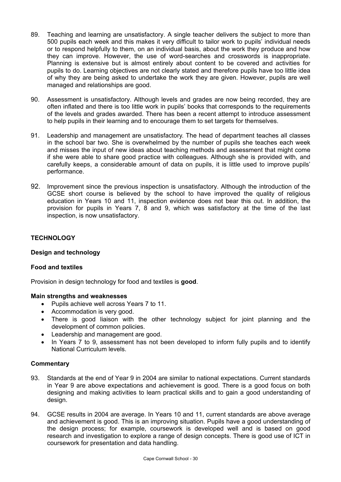- 89. Teaching and learning are unsatisfactory. A single teacher delivers the subject to more than 500 pupils each week and this makes it very difficult to tailor work to pupils' individual needs or to respond helpfully to them, on an individual basis, about the work they produce and how they can improve. However, the use of word-searches and crosswords is inappropriate. Planning is extensive but is almost entirely about content to be covered and activities for pupils to do. Learning objectives are not clearly stated and therefore pupils have too little idea of why they are being asked to undertake the work they are given. However, pupils are well managed and relationships are good.
- 90. Assessment is unsatisfactory. Although levels and grades are now being recorded, they are often inflated and there is too little work in pupils' books that corresponds to the requirements of the levels and grades awarded. There has been a recent attempt to introduce assessment to help pupils in their learning and to encourage them to set targets for themselves.
- 91. Leadership and management are unsatisfactory. The head of department teaches all classes in the school bar two. She is overwhelmed by the number of pupils she teaches each week and misses the input of new ideas about teaching methods and assessment that might come if she were able to share good practice with colleagues. Although she is provided with, and carefully keeps, a considerable amount of data on pupils, it is little used to improve pupils' performance.
- 92. Improvement since the previous inspection is unsatisfactory. Although the introduction of the GCSE short course is believed by the school to have improved the quality of religious education in Years 10 and 11, inspection evidence does not bear this out. In addition, the provision for pupils in Years 7, 8 and 9, which was satisfactory at the time of the last inspection, is now unsatisfactory.

# **TECHNOLOGY**

# **Design and technology**

# **Food and textiles**

Provision in design technology for food and textiles is **good**.

#### **Main strengths and weaknesses**

- Pupils achieve well across Years 7 to 11.
- Accommodation is very good.
- There is good liaison with the other technology subject for joint planning and the development of common policies.
- Leadership and management are good.
- In Years 7 to 9, assessment has not been developed to inform fully pupils and to identify National Curriculum levels.

- 93. Standards at the end of Year 9 in 2004 are similar to national expectations. Current standards in Year 9 are above expectations and achievement is good. There is a good focus on both designing and making activities to learn practical skills and to gain a good understanding of design.
- 94. GCSE results in 2004 are average. In Years 10 and 11, current standards are above average and achievement is good. This is an improving situation. Pupils have a good understanding of the design process; for example, coursework is developed well and is based on good research and investigation to explore a range of design concepts. There is good use of ICT in coursework for presentation and data handling.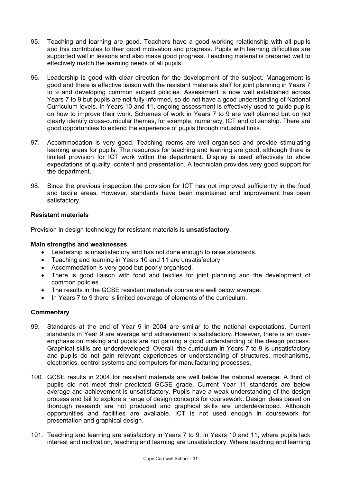- 95. Teaching and learning are good. Teachers have a good working relationship with all pupils and this contributes to their good motivation and progress. Pupils with learning difficulties are supported well in lessons and also make good progress. Teaching material is prepared well to effectively match the learning needs of all pupils.
- 96. Leadership is good with clear direction for the development of the subject. Management is good and there is effective liaison with the resistant materials staff for joint planning in Years 7 to 9 and developing common subject policies. Assessment is now well established across Years 7 to 9 but pupils are not fully informed, so do not have a good understanding of National Curriculum levels. In Years 10 and 11, ongoing assessment is effectively used to guide pupils on how to improve their work. Schemes of work in Years 7 to 9 are well planned but do not clearly identify cross-curricular themes, for example, numeracy, ICT and citizenship. There are good opportunities to extend the experience of pupils through industrial links.
- 97. Accommodation is very good. Teaching rooms are well organised and provide stimulating learning areas for pupils. The resources for teaching and learning are good, although there is limited provision for ICT work within the department. Display is used effectively to show expectations of quality, content and presentation. A technician provides very good support for the department.
- 98. Since the previous inspection the provision for ICT has not improved sufficiently in the food and textile areas. However, standards have been maintained and improvement has been satisfactory.

# **Resistant materials**

Provision in design technology for resistant materials is **unsatisfactory**.

#### **Main strengths and weaknesses**

- Leadership is unsatisfactory and has not done enough to raise standards.
- Teaching and learning in Years 10 and 11 are unsatisfactory.
- Accommodation is very good but poorly organised.
- There is good liaison with food and textiles for joint planning and the development of common policies.
- The results in the GCSE resistant materials course are well below average.
- In Years 7 to 9 there is limited coverage of elements of the curriculum.

- 99. Standards at the end of Year 9 in 2004 are similar to the national expectations. Current standards in Year 9 are average and achievement is satisfactory. However, there is an overemphasis on making and pupils are not gaining a good understanding of the design process. Graphical skills are underdeveloped. Overall, the curriculum in Years 7 to 9 is unsatisfactory and pupils do not gain relevant experiences or understanding of structures, mechanisms, electronics, control systems and computers for manufacturing processes.
- 100. GCSE results in 2004 for resistant materials are well below the national average. A third of pupils did not meet their predicted GCSE grade. Current Year 11 standards are below average and achievement is unsatisfactory. Pupils have a weak understanding of the design process and fail to explore a range of design concepts for coursework. Design ideas based on thorough research are not produced and graphical skills are underdeveloped. Although opportunities and facilities are available, ICT is not used enough in coursework for presentation and graphical design.
- 101. Teaching and learning are satisfactory in Years 7 to 9. In Years 10 and 11, where pupils lack interest and motivation, teaching and learning are unsatisfactory. Where teaching and learning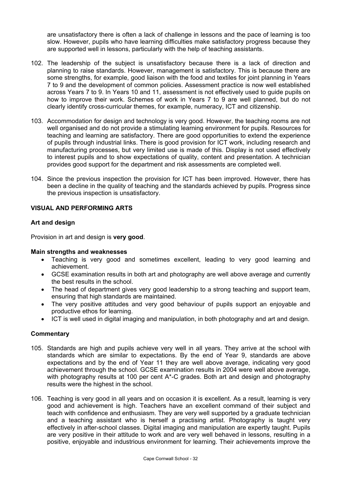are unsatisfactory there is often a lack of challenge in lessons and the pace of learning is too slow. However, pupils who have learning difficulties make satisfactory progress because they are supported well in lessons, particularly with the help of teaching assistants.

- 102. The leadership of the subject is unsatisfactory because there is a lack of direction and planning to raise standards. However, management is satisfactory. This is because there are some strengths, for example, good liaison with the food and textiles for joint planning in Years 7 to 9 and the development of common policies. Assessment practice is now well established across Years 7 to 9. In Years 10 and 11, assessment is not effectively used to guide pupils on how to improve their work. Schemes of work in Years 7 to 9 are well planned, but do not clearly identify cross-curricular themes, for example, numeracy, ICT and citizenship.
- 103. Accommodation for design and technology is very good. However, the teaching rooms are not well organised and do not provide a stimulating learning environment for pupils. Resources for teaching and learning are satisfactory. There are good opportunities to extend the experience of pupils through industrial links. There is good provision for ICT work, including research and manufacturing processes, but very limited use is made of this. Display is not used effectively to interest pupils and to show expectations of quality, content and presentation. A technician provides good support for the department and risk assessments are completed well.
- 104. Since the previous inspection the provision for ICT has been improved. However, there has been a decline in the quality of teaching and the standards achieved by pupils. Progress since the previous inspection is unsatisfactory.

# **VISUAL AND PERFORMING ARTS**

# **Art and design**

Provision in art and design is **very good**.

#### **Main strengths and weaknesses**

- Teaching is very good and sometimes excellent, leading to very good learning and achievement.
- GCSE examination results in both art and photography are well above average and currently the best results in the school.
- The head of department gives very good leadership to a strong teaching and support team, ensuring that high standards are maintained.
- The very positive attitudes and very good behaviour of pupils support an enjoyable and productive ethos for learning.
- ICT is well used in digital imaging and manipulation, in both photography and art and design.

- 105. Standards are high and pupils achieve very well in all years. They arrive at the school with standards which are similar to expectations. By the end of Year 9, standards are above expectations and by the end of Year 11 they are well above average, indicating very good achievement through the school. GCSE examination results in 2004 were well above average, with photography results at 100 per cent A<sup>\*</sup>-C grades. Both art and design and photography results were the highest in the school.
- 106. Teaching is very good in all years and on occasion it is excellent. As a result, learning is very good and achievement is high. Teachers have an excellent command of their subject and teach with confidence and enthusiasm. They are very well supported by a graduate technician and a teaching assistant who is herself a practising artist. Photography is taught very effectively in after-school classes. Digital imaging and manipulation are expertly taught. Pupils are very positive in their attitude to work and are very well behaved in lessons, resulting in a positive, enjoyable and industrious environment for learning. Their achievements improve the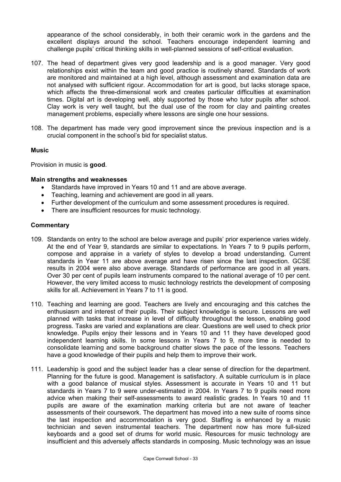appearance of the school considerably, in both their ceramic work in the gardens and the excellent displays around the school. Teachers encourage independent learning and challenge pupils' critical thinking skills in well-planned sessions of self-critical evaluation.

- 107. The head of department gives very good leadership and is a good manager. Very good relationships exist within the team and good practice is routinely shared. Standards of work are monitored and maintained at a high level, although assessment and examination data are not analysed with sufficient rigour. Accommodation for art is good, but lacks storage space, which affects the three-dimensional work and creates particular difficulties at examination times. Digital art is developing well, ably supported by those who tutor pupils after school. Clay work is very well taught, but the dual use of the room for clay and painting creates management problems, especially where lessons are single one hour sessions.
- 108. The department has made very good improvement since the previous inspection and is a crucial component in the school's bid for specialist status.

# **Music**

Provision in music is **good**.

#### **Main strengths and weaknesses**

- Standards have improved in Years 10 and 11 and are above average.
- Teaching, learning and achievement are good in all years.
- Further development of the curriculum and some assessment procedures is required.
- There are insufficient resources for music technology.

- 109. Standards on entry to the school are below average and pupils' prior experience varies widely. At the end of Year 9, standards are similar to expectations. In Years 7 to 9 pupils perform, compose and appraise in a variety of styles to develop a broad understanding. Current standards in Year 11 are above average and have risen since the last inspection. GCSE results in 2004 were also above average. Standards of performance are good in all years. Over 30 per cent of pupils learn instruments compared to the national average of 10 per cent. However, the very limited access to music technology restricts the development of composing skills for all. Achievement in Years 7 to 11 is good.
- 110. Teaching and learning are good. Teachers are lively and encouraging and this catches the enthusiasm and interest of their pupils. Their subject knowledge is secure. Lessons are well planned with tasks that increase in level of difficulty throughout the lesson, enabling good progress. Tasks are varied and explanations are clear. Questions are well used to check prior knowledge. Pupils enjoy their lessons and in Years 10 and 11 they have developed good independent learning skills. In some lessons in Years 7 to 9, more time is needed to consolidate learning and some background chatter slows the pace of the lessons. Teachers have a good knowledge of their pupils and help them to improve their work.
- 111. Leadership is good and the subject leader has a clear sense of direction for the department. Planning for the future is good. Management is satisfactory. A suitable curriculum is in place with a good balance of musical styles. Assessment is accurate in Years 10 and 11 but standards in Years 7 to 9 were under-estimated in 2004. In Years 7 to 9 pupils need more advice when making their self-assessments to award realistic grades. In Years 10 and 11 pupils are aware of the examination marking criteria but are not aware of teacher assessments of their coursework. The department has moved into a new suite of rooms since the last inspection and accommodation is very good. Staffing is enhanced by a music technician and seven instrumental teachers. The department now has more full-sized keyboards and a good set of drums for world music. Resources for music technology are insufficient and this adversely affects standards in composing. Music technology was an issue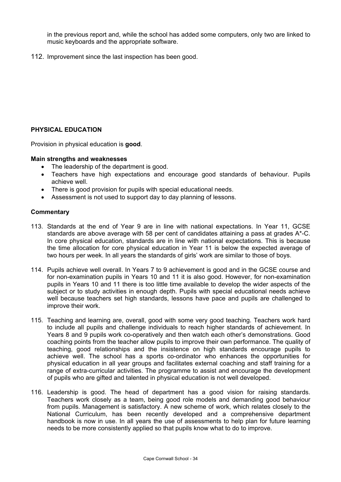in the previous report and, while the school has added some computers, only two are linked to music keyboards and the appropriate software.

112. Improvement since the last inspection has been good.

# **PHYSICAL EDUCATION**

Provision in physical education is **good**.

#### **Main strengths and weaknesses**

- The leadership of the department is good.
- Teachers have high expectations and encourage good standards of behaviour. Pupils achieve well.
- There is good provision for pupils with special educational needs.
- Assessment is not used to support day to day planning of lessons.

- 113. Standards at the end of Year 9 are in line with national expectations. In Year 11, GCSE standards are above average with 58 per cent of candidates attaining a pass at grades A\*-C. In core physical education, standards are in line with national expectations. This is because the time allocation for core physical education in Year 11 is below the expected average of two hours per week. In all years the standards of girls' work are similar to those of boys.
- 114. Pupils achieve well overall. In Years 7 to 9 achievement is good and in the GCSE course and for non-examination pupils in Years 10 and 11 it is also good. However, for non-examination pupils in Years 10 and 11 there is too little time available to develop the wider aspects of the subject or to study activities in enough depth. Pupils with special educational needs achieve well because teachers set high standards, lessons have pace and pupils are challenged to improve their work.
- 115. Teaching and learning are, overall, good with some very good teaching. Teachers work hard to include all pupils and challenge individuals to reach higher standards of achievement. In Years 8 and 9 pupils work co-operatively and then watch each other's demonstrations. Good coaching points from the teacher allow pupils to improve their own performance. The quality of teaching, good relationships and the insistence on high standards encourage pupils to achieve well. The school has a sports co-ordinator who enhances the opportunities for physical education in all year groups and facilitates external coaching and staff training for a range of extra-curricular activities. The programme to assist and encourage the development of pupils who are gifted and talented in physical education is not well developed.
- 116. Leadership is good. The head of department has a good vision for raising standards. Teachers work closely as a team, being good role models and demanding good behaviour from pupils. Management is satisfactory. A new scheme of work, which relates closely to the National Curriculum, has been recently developed and a comprehensive department handbook is now in use. In all years the use of assessments to help plan for future learning needs to be more consistently applied so that pupils know what to do to improve.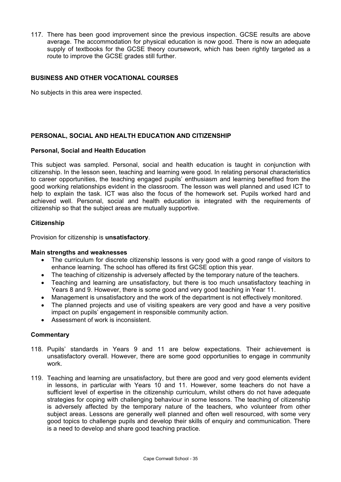117. There has been good improvement since the previous inspection. GCSE results are above average. The accommodation for physical education is now good. There is now an adequate supply of textbooks for the GCSE theory coursework, which has been rightly targeted as a route to improve the GCSE grades still further.

# **BUSINESS AND OTHER VOCATIONAL COURSES**

No subjects in this area were inspected.

# **PERSONAL, SOCIAL AND HEALTH EDUCATION AND CITIZENSHIP**

#### **Personal, Social and Health Education**

This subject was sampled. Personal, social and health education is taught in conjunction with citizenship. In the lesson seen, teaching and learning were good. In relating personal characteristics to career opportunities, the teaching engaged pupils' enthusiasm and learning benefited from the good working relationships evident in the classroom. The lesson was well planned and used ICT to help to explain the task. ICT was also the focus of the homework set. Pupils worked hard and achieved well. Personal, social and health education is integrated with the requirements of citizenship so that the subject areas are mutually supportive.

#### **Citizenship**

Provision for citizenship is **unsatisfactory**.

#### **Main strengths and weaknesses**

- The curriculum for discrete citizenship lessons is very good with a good range of visitors to enhance learning. The school has offered its first GCSE option this year.
- The teaching of citizenship is adversely affected by the temporary nature of the teachers.
- Teaching and learning are unsatisfactory, but there is too much unsatisfactory teaching in Years 8 and 9. However, there is some good and very good teaching in Year 11.
- Management is unsatisfactory and the work of the department is not effectively monitored.
- The planned projects and use of visiting speakers are very good and have a very positive impact on pupils' engagement in responsible community action.
- Assessment of work is inconsistent.

- 118. Pupils' standards in Years 9 and 11 are below expectations. Their achievement is unsatisfactory overall. However, there are some good opportunities to engage in community work.
- 119. Teaching and learning are unsatisfactory, but there are good and very good elements evident in lessons, in particular with Years 10 and 11. However, some teachers do not have a sufficient level of expertise in the citizenship curriculum, whilst others do not have adequate strategies for coping with challenging behaviour in some lessons. The teaching of citizenship is adversely affected by the temporary nature of the teachers, who volunteer from other subject areas. Lessons are generally well planned and often well resourced, with some very good topics to challenge pupils and develop their skills of enquiry and communication. There is a need to develop and share good teaching practice.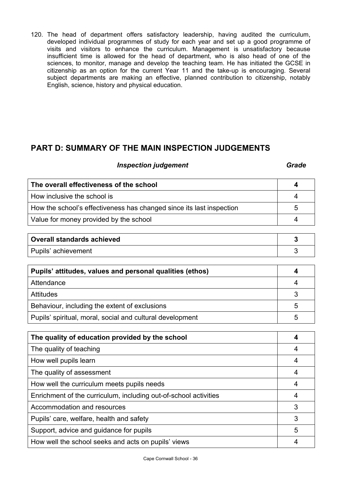120. The head of department offers satisfactory leadership, having audited the curriculum, developed individual programmes of study for each year and set up a good programme of visits and visitors to enhance the curriculum. Management is unsatisfactory because insufficient time is allowed for the head of department, who is also head of one of the sciences, to monitor, manage and develop the teaching team. He has initiated the GCSE in citizenship as an option for the current Year 11 and the take-up is encouraging. Several subject departments are making an effective, planned contribution to citizenship, notably English, science, history and physical education.

# **PART D: SUMMARY OF THE MAIN INSPECTION JUDGEMENTS**

# **Inspection judgement** Grade **Grade**

| The overall effectiveness of the school                              |   |
|----------------------------------------------------------------------|---|
| How inclusive the school is                                          |   |
| How the school's effectiveness has changed since its last inspection | 5 |
| Value for money provided by the school                               |   |
|                                                                      |   |

| <b>Overall standards achieved</b> |  |
|-----------------------------------|--|
| Pupils' achievement               |  |

| Pupils' attitudes, values and personal qualities (ethos)  |   |
|-----------------------------------------------------------|---|
| Attendance                                                |   |
| <b>Attitudes</b>                                          |   |
| Behaviour, including the extent of exclusions             | 5 |
| Pupils' spiritual, moral, social and cultural development |   |

| The quality of education provided by the school                  |   |
|------------------------------------------------------------------|---|
| The quality of teaching                                          |   |
| How well pupils learn                                            | 4 |
| The quality of assessment                                        | 4 |
| How well the curriculum meets pupils needs                       | 4 |
| Enrichment of the curriculum, including out-of-school activities | 4 |
| Accommodation and resources                                      | 3 |
| Pupils' care, welfare, health and safety                         | 3 |
| Support, advice and guidance for pupils                          | 5 |
| How well the school seeks and acts on pupils' views              | 4 |